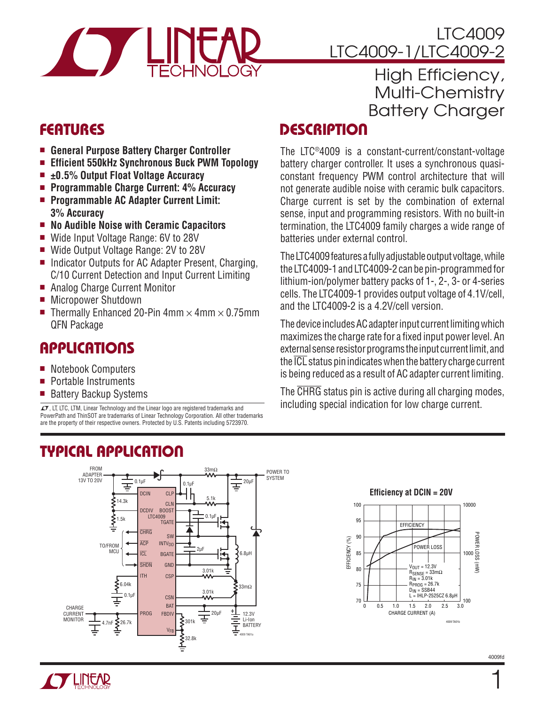

### LTC4009 LTC4009-1/LTC4009-2

### High Efficiency, Multi-Chemistry Battery Charger

## Features

- General Purpose Battery Charger Controller
- **Efficient 550kHz Synchronous Buck PWM Topology**
- <sup>n</sup> **±0.5% Output Float Voltage Accuracy**
- Programmable Charge Current: 4% Accuracy
- Programmable AC Adapter Current Limit: **3% Accuracy**
- <sup>n</sup> **No Audible Noise with Ceramic Capacitors**
- Wide Input Voltage Range: 6V to 28V
- Wide Output Voltage Range: 2V to 28V
- Indicator Outputs for AC Adapter Present, Charging, C/10 Current Detection and Input Current Limiting
- Analog Charge Current Monitor
- **Nicropower Shutdown**
- Thermally Enhanced 20-Pin  $4 \text{mm} \times 4 \text{mm} \times 0.75 \text{mm}$ QFN Package

### Applications

- <sup>n</sup> Notebook Computers
- Portable Instruments
- Battery Backup Systems

 $\mathcal{I}$ , LT, LTC, LTM, Linear Technology and the Linear logo are registered trademarks and PowerPath and ThinSOT are trademarks of Linear Technology Corporation. All other trademarks are the property of their respective owners. Protected by U.S. Patents including 5723970.

#### FROM 33mΩ POWER TO ADAPTER **SYSTEM** 13V TO 20V 0.1µF  $20\mu$ F Ŧ 0.1µF DCIN 5.1k  $\lessgtr$ 14.3k CLN<br>BOOST DCDIV LTC4009 BOOST  $\sum_{i=1}^{n}$ 0.1µF TGATE **CHRG** SW ACP INTV<sub>DD</sub> TO/FROM  $2nF$ **MCU ICL BGATE**  $6.8<sub>u</sub>$ H Ŀ SHDN GND 3.01k ITH **CSF** .<br>6.04k 33mΩ 3.01k<br>**MA** 0.1µF **C<sub>SN</sub>** BAT **CHARGE** CURRENT 12.3V PROG **FBDIV** 20µF ਵ MONITOR  $\sum_{1}^{26.7k}$ Li-Ion  $\sum$ 301k 4.7nF BATTERY Ξ  $V_{FF}$ 4009 TA01a 32.8k

# **DESCRIPTION**

The LTC®4009 is a constant-current/constant-voltage battery charger controller. It uses a synchronous quasiconstant frequency PWM control architecture that will not generate audible noise with ceramic bulk capacitors. Charge current is set by the combination of external sense, input and programming resistors. With no built-in termination, the LTC4009 family charges a wide range of batteries under external control.

The LTC4009 features a fully adjustable output voltage, while the LTC4009-1 and LTC4009-2 can be pin-programmed for lithium-ion/polymer battery packs of 1-, 2-, 3- or 4-series cells. The LTC4009-1 provides output voltage of 4.1V/cell, and the LTC4009-2 is a 4.2V/cell version.

The device includes AC adapter input current limiting which maximizes the charge rate for a fixed input power level. An external sense resistor programs the input current limit, and the  $\overline{ICL}$  status pin indicates when the battery charge current is being reduced as a result of AC adapter current limiting.

The CHRG status pin is active during all charging modes, including special indication for low charge current.



# Typical Application



 $\mathbf{1}$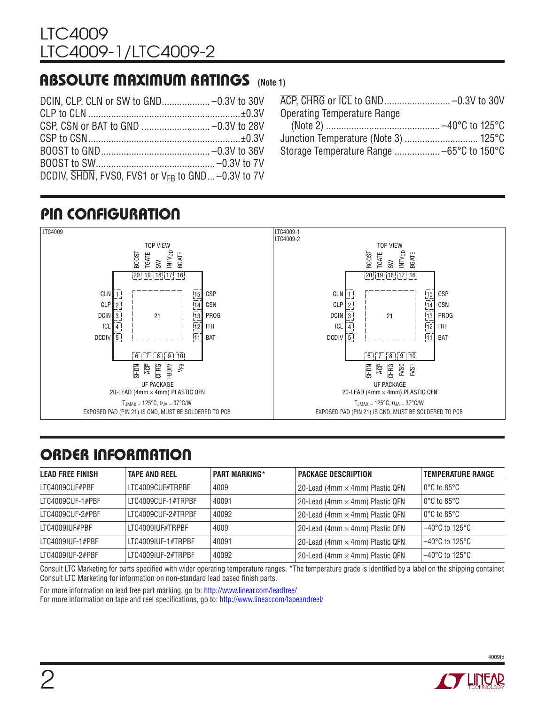### Absolute Maximum Ratings **(Note 1)**

| DCDIV, $\overline{\text{SHDN}}$ , FVS0, FVS1 or $V_{FR}$ to GND -0.3V to 7V |  |
|-----------------------------------------------------------------------------|--|

| <b>Operating Temperature Range</b> |  |
|------------------------------------|--|
|                                    |  |
|                                    |  |
|                                    |  |
|                                    |  |

# Pin Configuration



# ORDER INFORMATION

| <b>LEAD FREE FINISH</b> | <b>TAPE AND REEL</b> | <b>PART MARKING*</b> | <b>PACKAGE DESCRIPTION</b>             | <b>TEMPERATURE RANGE</b>            |
|-------------------------|----------------------|----------------------|----------------------------------------|-------------------------------------|
| LTC4009CUF#PBF          | LTC4009CUF#TRPBF     | 4009                 | 20-Lead (4mm $\times$ 4mm) Plastic QFN | $0^{\circ}$ C to 85 $^{\circ}$ C    |
| LTC4009CUF-1#PBF        | LTC4009CUF-1#TRPBF   | 40091                | 20-Lead (4mm $\times$ 4mm) Plastic QFN | $0^{\circ}$ C to 85 $^{\circ}$ C    |
| LTC4009CUF-2#PBF        | LTC4009CUF-2#TRPBF   | 40092                | 20-Lead (4mm $\times$ 4mm) Plastic QFN | $0^{\circ}$ C to 85 $^{\circ}$ C    |
| ITC4009IUF#PBF          | LTC4009IUF#TRPBF     | 4009                 | 20-Lead (4mm $\times$ 4mm) Plastic QFN | $-40^{\circ}$ C to 125 $^{\circ}$ C |
| LTC4009IUF-1#PBF        | LTC4009IUF-1#TRPBF   | 40091                | 20-Lead (4mm $\times$ 4mm) Plastic QFN | $-40^{\circ}$ C to 125 $^{\circ}$ C |
| LTC4009IUF-2#PBF        | ITC4009IUF-2#TRPBF   | 40092                | 20-Lead (4mm $\times$ 4mm) Plastic QFN | $-40^{\circ}$ C to 125 $^{\circ}$ C |

Consult LTC Marketing for parts specified with wider operating temperature ranges. \*The temperature grade is identified by a label on the shipping container. Consult LTC Marketing for information on non-standard lead based finish parts.

For more information on lead free part marking, go to: http://www.linear.com/leadfree/

For more information on tape and reel specifications, go to: http://www.linear.com/tapeandreel/

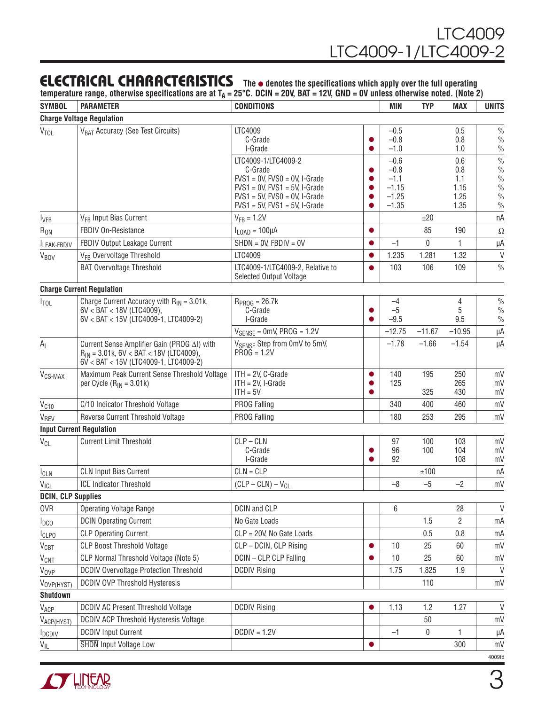### **ELECTRICAL CHARACTERISTICS** The  $\bullet$  denotes the specifications which apply over the full operating

temperature range, otherwise specifications are at T<sub>A</sub> = 25°C. DCIN = 20V, BAT = 12V, GND = 0V unless otherwise noted. (Note 2)

| <b>SYMBOL</b>                              | <b>PARAMETER</b>                                                                                                                      | <b>CONDITIONS</b>                                                          |           | MIN                | <b>TYP</b>  | <b>MAX</b>   | <b>UNITS</b>                   |
|--------------------------------------------|---------------------------------------------------------------------------------------------------------------------------------------|----------------------------------------------------------------------------|-----------|--------------------|-------------|--------------|--------------------------------|
|                                            | <b>Charge Voltage Regulation</b>                                                                                                      |                                                                            |           |                    |             |              |                                |
| <b>VTOL</b>                                | V <sub>BAT</sub> Accuracy (See Test Circuits)                                                                                         | LTC4009                                                                    |           | $-0.5$             |             | 0.5          | $\frac{0}{0}$                  |
|                                            |                                                                                                                                       | C-Grade                                                                    |           | $-0.8$             |             | 0.8          | $\%$                           |
|                                            |                                                                                                                                       | I-Grade                                                                    |           | $-1.0$             |             | 1.0          | $\frac{0}{0}$                  |
|                                            |                                                                                                                                       | LTC4009-1/LTC4009-2<br>C-Grade                                             |           | $-0.6$<br>$-0.8$   |             | 0.6<br>0.8   | $\frac{0}{0}$<br>$\%$          |
|                                            |                                                                                                                                       | $FVS1 = 0V$ , $FVS0 = 0V$ , I-Grade                                        |           | $-1.1$             |             | 1.1          | $\frac{0}{0}$                  |
|                                            |                                                                                                                                       | $FVS1 = 0V$ , $FVS1 = 5V$ , I-Grade                                        |           | $-1.15$            |             | 1.15         | $\frac{0}{0}$                  |
|                                            |                                                                                                                                       | $FVS1 = 5V$ , $FVS0 = 0V$ , I-Grade<br>$FVS1 = 5V$ , $FVS1 = 5V$ , I-Grade |           | $-1.25$<br>$-1.35$ |             | 1.25<br>1.35 | $\frac{0}{0}$<br>$\frac{0}{0}$ |
|                                            | V <sub>FB</sub> Input Bias Current                                                                                                    | $V_{FB} = 1.2V$                                                            |           |                    | ±20         |              | nA                             |
| <b>I</b> <sub>VFB</sub><br>R <sub>ON</sub> | FBDIV On-Resistance                                                                                                                   | $I_{LOAD} = 100 \mu A$                                                     |           |                    | 85          | 190          |                                |
|                                            | FBDIV Output Leakage Current                                                                                                          | $\overline{\text{SHDN}} = 0$ V, FBDIV = 0V                                 | $\bullet$ | $-1$               | $\mathbf 0$ | 1            | Ω                              |
| <b>ILEAK-FBDIV</b>                         |                                                                                                                                       | LTC4009                                                                    |           | 1.235              | 1.281       | 1.32         | μA<br>$\vee$                   |
| <b>V<sub>BOV</sub></b>                     | V <sub>FB</sub> Overvoltage Threshold                                                                                                 |                                                                            |           |                    |             |              | $\frac{0}{0}$                  |
|                                            | <b>BAT Overvoltage Threshold</b>                                                                                                      | LTC4009-1/LTC4009-2, Relative to<br><b>Selected Output Voltage</b>         |           | 103                | 106         | 109          |                                |
|                                            | <b>Charge Current Regulation</b>                                                                                                      |                                                                            |           |                    |             |              |                                |
| $I_{\text{TOL}}$                           | Charge Current Accuracy with $R_{IN} = 3.01k$ ,                                                                                       | $R_{PROG} = 26.7k$                                                         |           | $-4$               |             | 4            | $\%$                           |
|                                            | $6V < BAT < 18V$ (LTC4009),                                                                                                           | C-Grade                                                                    |           | $-5$               |             | 5            | $\frac{0}{0}$                  |
|                                            | 6V < BAT < 15V (LTC4009-1, LTC4009-2)                                                                                                 | I-Grade                                                                    |           | $-9.5$             |             | 9.5          | $\frac{0}{0}$                  |
|                                            |                                                                                                                                       | $V_{\text{SENSE}} = 0$ mV, PROG = 1.2V                                     |           | $-12.75$           | $-11.67$    | $-10.95$     | μA                             |
| A <sub>l</sub>                             | Current Sense Amplifier Gain (PROG AI) with<br>$R_{IN}$ = 3.01k, 6V < BAT < 18V (LTC4009),<br>$6V$ < BAT < 15V (LTC4009-1, LTC4009-2) | V <sub>SENSE</sub> Step from 0mV to 5mV,<br>$PROG = 1.2V$                  |           | $-1.78$            | $-1.66$     | $-1.54$      | μA                             |
| V <sub>CS-MAX</sub>                        | Maximum Peak Current Sense Threshold Voltage                                                                                          | $ITH = 2V, C-Grade$                                                        | 0         | 140                | 195         | 250          | mV                             |
|                                            | per Cycle $(R_{IN} = 3.01k)$                                                                                                          | $ITH = 2V, I-Grade$                                                        |           | 125                |             | 265          | mV                             |
|                                            |                                                                                                                                       | $ITH = 5V$                                                                 |           |                    | 325         | 430          | mV                             |
| $V_{C10}$                                  | C/10 Indicator Threshold Voltage                                                                                                      | PROG Falling                                                               |           | 340                | 400         | 460          | mV                             |
| VREV                                       | Reverse Current Threshold Voltage                                                                                                     | <b>PROG Falling</b>                                                        |           | 180                | 253         | 295          | mV                             |
|                                            | <b>Input Current Regulation</b><br><b>Current Limit Threshold</b>                                                                     | $CLP - CLN$                                                                |           |                    |             |              |                                |
| <b>V<sub>CL</sub></b>                      |                                                                                                                                       | C-Grade                                                                    |           | 97<br>96           | 100<br>100  | 103<br>104   | mV<br>mV                       |
|                                            |                                                                                                                                       | I-Grade                                                                    |           | 92                 |             | 108          | mV                             |
| $I_{CLN}$                                  | <b>CLN Input Bias Current</b>                                                                                                         | $CLN = CLP$                                                                |           |                    | ±100        |              | пA                             |
| VICL                                       | <b>ICL</b> Indicator Threshold                                                                                                        | $(CLP - CLN) - V_{CL}$                                                     |           | $-8$               | $-5$        | $-2$         | mV                             |
| <b>DCIN, CLP Supplies</b>                  |                                                                                                                                       |                                                                            |           |                    |             |              |                                |
| 0VR                                        | <b>Operating Voltage Range</b>                                                                                                        | DCIN and CLP                                                               |           | 6                  |             | 28           | $\vee$                         |
| $I_{DCO}$                                  | <b>DCIN Operating Current</b>                                                                                                         | No Gate Loads                                                              |           |                    | 1.5         | 2            | mA                             |
| <b>I</b> CLPO                              | <b>CLP Operating Current</b>                                                                                                          | CLP = 20V, No Gate Loads                                                   |           |                    | 0.5         | $0.8\,$      | mA                             |
| VCBT                                       | <b>CLP Boost Threshold Voltage</b>                                                                                                    | CLP - DCIN, CLP Rising                                                     |           | 10                 | 25          | 60           | mV                             |
| <b>V<sub>CNT</sub></b>                     | CLP Normal Threshold Voltage (Note 5)                                                                                                 | DCIN - CLP, CLP Falling                                                    |           | 10                 | 25          | 60           | mV                             |
| Vove                                       | <b>DCDIV Overvoltage Protection Threshold</b>                                                                                         | <b>DCDIV Rising</b>                                                        |           | 1.75               | 1.825       | 1.9          | $\vee$                         |
| VOVP(HYST)                                 | <b>DCDIV OVP Threshold Hysteresis</b>                                                                                                 |                                                                            |           |                    | 110         |              | mV                             |
| <b>Shutdown</b>                            |                                                                                                                                       |                                                                            |           |                    |             |              |                                |
| VACP                                       | <b>DCDIV AC Present Threshold Voltage</b>                                                                                             | <b>DCDIV Rising</b>                                                        | $\bullet$ | 1.13               | 1.2         | 1.27         | $\vee$                         |
| V <sub>ACP(HYST)</sub>                     | DCDIV ACP Threshold Hysteresis Voltage                                                                                                |                                                                            |           |                    | 50          |              | mV                             |
| <b>I</b> <sub>DCDIV</sub>                  | <b>DCDIV Input Current</b>                                                                                                            | $DCDIV = 1.2V$                                                             |           | $-1$               | 0           | 1            | μA                             |
| $V_{\mathsf{IL}}$                          | <b>SHDN</b> Input Voltage Low                                                                                                         |                                                                            | $\bullet$ |                    |             | 300          | mV                             |
|                                            |                                                                                                                                       |                                                                            |           |                    |             |              | 4009fd                         |

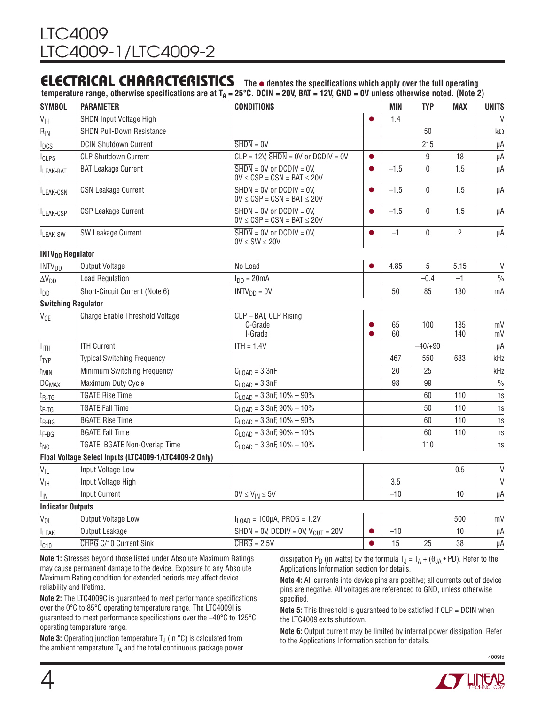### **ELECTRICAL CHARACTERISTICS** The  $\bullet$  denotes the specifications which apply over the full operating

**temperature range, otherwise specifications are at**  $T_0 = 25^\circ$ **C. DCIN = 20V, BAT = 12V, GND = 0V unless otherwise noted. (Note 2)** 

| <b>SYMBOL</b>                      | <b>PARAMETER</b>                                       | <b>CONDITIONS</b>                                                                          |           | MIN      | <b>TYP</b>  | <b>MAX</b>     | <b>UNITS</b>               |
|------------------------------------|--------------------------------------------------------|--------------------------------------------------------------------------------------------|-----------|----------|-------------|----------------|----------------------------|
| $V_{\text{IH}}$                    | SHDN Input Voltage High                                |                                                                                            |           | 1.4      |             |                | $\vee$                     |
| $R_{IN}$                           | <b>SHDN Pull-Down Resistance</b>                       |                                                                                            |           |          | 50          |                | k $\Omega$                 |
| <b>I</b> <sub>DCS</sub>            | <b>DCIN Shutdown Current</b>                           | $\overline{\text{SHDN}} = 0 \vee$                                                          |           |          | 215         |                | μA                         |
| <b>I</b> CLPS                      | <b>CLP Shutdown Current</b>                            | $CLP = 12V$ , $\overline{SHDN} = 0V$ or $DCDIV = 0V$                                       | $\bullet$ |          | 9           | 18             | μA                         |
| ILEAK-BAT                          | <b>BAT Leakage Current</b>                             | $\overline{\text{SHDN}} = \text{OV}$ or DCDIV = 0V.<br>$0V \leq CSP = CSN = BAT \leq 20V$  | $\bullet$ | $-1.5$   | $\pmb{0}$   | 1.5            | μA                         |
| ILEAK-CSN                          | <b>CSN Leakage Current</b>                             | $\overline{\text{SHDN}} = 0 \text{V}$ or DCDIV = 0V.<br>$0V \leq CSP = CSN = BAT \leq 20V$ | $\bullet$ | $-1.5$   | $\mathbf 0$ | 1.5            | μA                         |
| ILEAK-CSP                          | <b>CSP Leakage Current</b>                             | $\overline{\text{SHDN}} = \text{OV}$ or DCDIV = 0V.<br>$0V \leq CSP = CSN = BAT \leq 20V$  | $\bullet$ | $-1.5$   | $\pmb{0}$   | 1.5            | μA                         |
| ILEAK-SW                           | SW Leakage Current                                     | $\overline{\text{SHDN}} = 0 \text{V}$ or DCDIV = 0V.<br>$0V \leq SW \leq 20V$              | $\bullet$ | $-1$     | $\mathbf 0$ | $\overline{2}$ | μA                         |
| <b>INTV<sub>DD</sub></b> Regulator |                                                        |                                                                                            |           |          |             |                |                            |
| <b>INTV<sub>DD</sub></b>           | Output Voltage                                         | No Load                                                                                    | $\bullet$ | 4.85     | 5           | 5.15           | $\vee$                     |
| $\Delta V_{DD}$                    | <b>Load Regulation</b>                                 | $I_{DD} = 20mA$                                                                            |           |          | $-0.4$      | $-1$           | $\frac{0}{0}$              |
| <b>I</b> <sub>DD</sub>             | Short-Circuit Current (Note 6)                         | $INTVDD = 0V$                                                                              |           | 50       | 85          | 130            | mA                         |
|                                    | <b>Switching Regulator</b>                             |                                                                                            |           |          |             |                |                            |
| V <sub>CE</sub>                    | Charge Enable Threshold Voltage                        | CLP - BAT, CLP Rising<br>C-Grade<br>I-Grade                                                | $\bullet$ | 65<br>60 | 100         | 135<br>140     | mV<br>mV                   |
| I <sub>ITH</sub>                   | <b>ITH Current</b>                                     | $ITH = 1.4V$                                                                               |           |          | $-40/+90$   |                | μA                         |
| f <sub>TYP</sub>                   | <b>Typical Switching Frequency</b>                     |                                                                                            |           | 467      | 550         | 633            | kHz                        |
| f <sub>MIN</sub>                   | Minimum Switching Frequency                            | $C_{\text{LOAD}} = 3.3$ nF                                                                 |           | 20       | 25          |                | kHz                        |
| DC <sub>MAX</sub>                  | Maximum Duty Cycle                                     | $C_{\text{LOAD}} = 3.3$ nF                                                                 |           | 98       | 99          |                | $\frac{0}{0}$              |
| $t_{R-TG}$                         | <b>TGATE Rise Time</b>                                 | $C_{LOAD}$ = 3.3nF, 10% - 90%                                                              |           |          | 60          | 110            | ns                         |
| t <sub>F-TG</sub>                  | <b>TGATE Fall Time</b>                                 | $C1$ $_{0AD}$ = 3.3nF, 90% - 10%                                                           |           |          | 50          | 110            | $\ensuremath{\mathsf{ns}}$ |
| $t_{R-BG}$                         | <b>BGATE Rise Time</b>                                 | $C_{LOAD}$ = 3.3nF, 10% - 90%                                                              |           |          | 60          | 110            | ns                         |
| t <sub>F-BG</sub>                  | <b>BGATE Fall Time</b>                                 | $C_{LOAD}$ = 3.3nF, 90% - 10%                                                              |           |          | 60          | 110            | ns                         |
| t <sub>NO</sub>                    | TGATE, BGATE Non-Overlap Time                          | $C_{LOAD}$ = 3.3nF, 10% - 10%                                                              |           |          | 110         |                | $\ensuremath{\mathsf{ns}}$ |
|                                    | Float Voltage Select Inputs (LTC4009-1/LTC4009-2 Only) |                                                                                            |           |          |             |                |                            |
| $V_{IL}$                           | Input Voltage Low                                      |                                                                                            |           |          |             | 0.5            | $\vee$                     |
| $V_{\text{IH}}$                    | Input Voltage High                                     |                                                                                            |           | 3.5      |             |                | $\vee$                     |
| ΙıΝ                                | <b>Input Current</b>                                   | $0V \leq V_{IN} \leq 5V$                                                                   |           | $-10$    |             | 10             | μA                         |
| <b>Indicator Outputs</b>           |                                                        |                                                                                            |           |          |             |                |                            |
| $V_{OL}$                           | Output Voltage Low                                     | $I_{\text{LOAD}} = 100 \mu A$ , PROG = 1.2V                                                |           |          |             | 500            | mV                         |
| <b>ILEAK</b>                       | Output Leakage                                         | $\overline{\text{SHDN}} = 0\text{V}$ , DCDIV = 0V, $\text{V}_{\text{OUT}} = 20\text{V}$    |           | $-10$    |             | 10             | μA                         |
| $I_{C10}$                          | CHRG C/10 Current Sink                                 | $CHRG = 2.5V$                                                                              |           | 15       | 25          | 38             | μA                         |

**Note 1:** Stresses beyond those listed under Absolute Maximum Ratings may cause permanent damage to the device. Exposure to any Absolute Maximum Rating condition for extended periods may affect device reliability and lifetime.

**Note 2:** The LTC4009C is guaranteed to meet performance specifications over the 0°C to 85°C operating temperature range. The LTC4009I is guaranteed to meet performance specifications over the –40°C to 125°C operating temperature range.

**Note 3:** Operating junction temperature  $T_{\text{J}}$  (in  $^{\circ}$ C) is calculated from the ambient temperature  $T_A$  and the total continuous package power dissipation P<sub>D</sub> (in watts) by the formula  $T_J = T_A + (\theta_{JA} \cdot PD)$ . Refer to the Applications Information section for details.

**Note 4:** All currents into device pins are positive; all currents out of device pins are negative. All voltages are referenced to GND, unless otherwise specified.

**Note 5:** This threshold is guaranteed to be satisfied if CLP = DCIN when the LTC4009 exits shutdown.

**Note 6:** Output current may be limited by internal power dissipation. Refer to the Applications Information section for details.

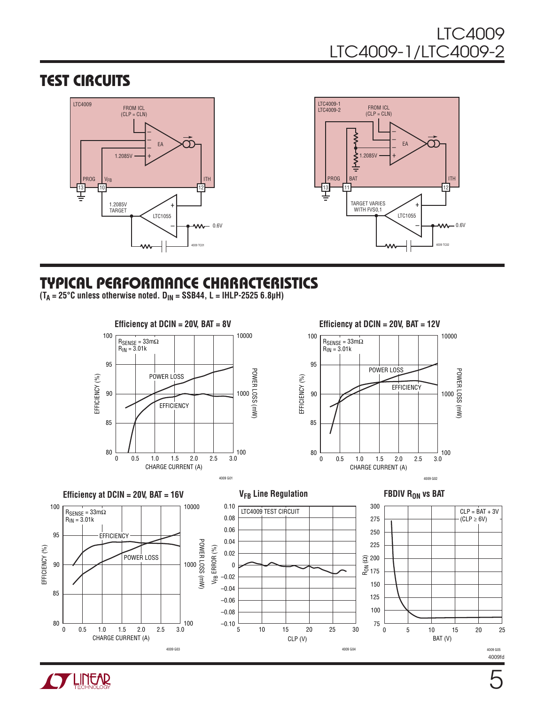### Test Circuits



# Typical Performance Characteristics

 $(T_A = 25^{\circ}C \text{ unless otherwise noted. } D_{IN} = \text{SSB44, L} = \text{IHLP-2525 6.8}$  $\mu$ H)



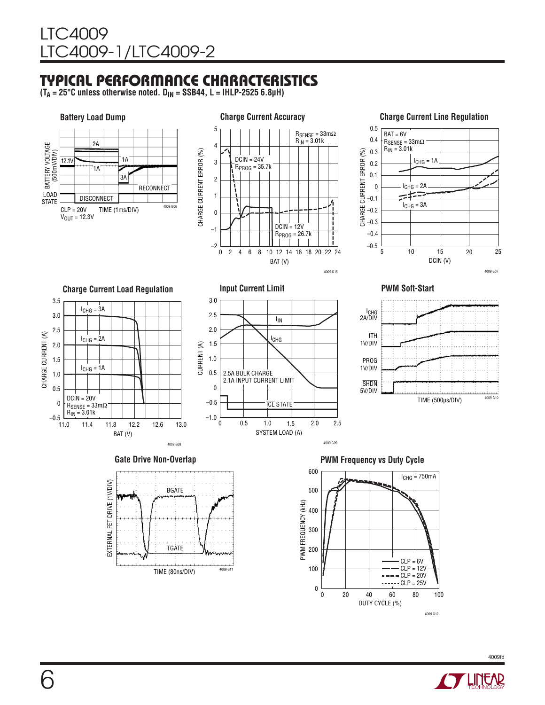# Typical Performance Characteristics

**(TA = 25°C unless otherwise noted. DIN = SSB44, L = IHLP-2525 6.8µH)**

#### **Battery Load Dump** BATTERY VOLTAGE (500mV/DIV) E BATTERY VOLTAGE<br>B (500mV/DIV) STATE CLP = 20V TIME (1ms/DIV)  $V_{\text{OUT}} = 12.3V$  $4000g$ **DISCONNECT** RECONNECT 3A 2A  $12.1V$   $\overline{\phantom{12.1}}$   $1A$ 1A



#### **Charge Current Line Regulation**



**Charge Current Load Regulation** 3.5  $I_{CHG} = 3A$ 3.0 2.5 CHARGE CURRENT (A) CHARGE CURRENT (A)  $I_{CHG} = 2A$ 2.0 1.5  $I_{CHG} = 1A$ 1.0

BAT (V)

11.4 11.8 12.2 12.6 13.0

11.0

 $DCIN = 20V$  $R_{\sf SENSE}$  = 33m $\Omega$  $R_{IN} = 3.01k$ 

0.5 0 –0.5



**PWM Soft-Start**



12.6



4009 G08

Gate Drive Non-Overlap *Cate Drive Non-Overlap* **PWM Frequency vs Duty Cycle** 



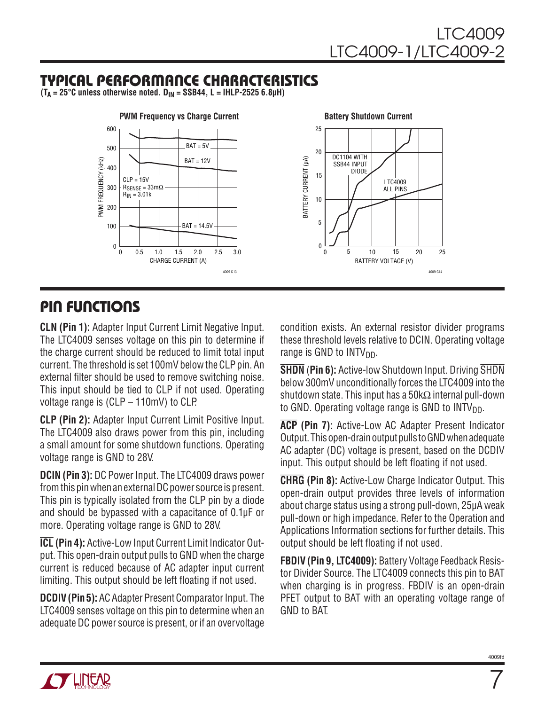# Typical Performance Characteristics

 $(T_A = 25^{\circ}C$  unless otherwise noted.  $D_{IN} = SSB44$ ,  $L = IHLP-25256.8\mu H)$ 



### Pin Functions

**CLN (Pin 1):** Adapter Input Current Limit Negative Input. The LTC4009 senses voltage on this pin to determine if the charge current should be reduced to limit total input current. The threshold is set 100mV below the CLP pin. An external filter should be used to remove switching noise. This input should be tied to CLP if not used. Operating voltage range is (CLP – 110mV) to CLP.

**CLP (Pin 2):** Adapter Input Current Limit Positive Input. The LTC4009 also draws power from this pin, including a small amount for some shutdown functions. Operating voltage range is GND to 28V.

**DCIN (Pin 3):** DC Power Input. The LTC4009 draws power from this pin when an external DC power source is present. This pin is typically isolated from the CLP pin by a diode and should be bypassed with a capacitance of 0.1µF or more. Operating voltage range is GND to 28V.

**ICL (Pin 4):** Active-Low Input Current Limit Indicator Output. This open-drain output pulls to GND when the charge current is reduced because of AC adapter input current limiting. This output should be left floating if not used.

**DCDIV (Pin 5):** AC Adapter Present Comparator Input. The LTC4009 senses voltage on this pin to determine when an adequate DC power source is present, or if an overvoltage

condition exists. An external resistor divider programs these threshold levels relative to DCIN. Operating voltage range is GND to  $INTV<sub>DD</sub>$ .

**SHDN** (**Pin 6):** Active-low Shutdown Input. Driving SHDN below 300mV unconditionally forces the LTC4009 into the shutdown state. This input has a 50kΩ internal pull-down to GND. Operating voltage range is GND to  $INTV<sub>DD</sub>$ .

**ACP (Pin 7):** Active-Low AC Adapter Present Indicator Output. This open-drain output pulls to GND when adequate AC adapter (DC) voltage is present, based on the DCDIV input. This output should be left floating if not used.

**CHRG (Pin 8):** Active-Low Charge Indicator Output. This open-drain output provides three levels of information about charge status using a strong pull-down, 25µA weak pull-down or high impedance. Refer to the Operation and Applications Information sections for further details. This output should be left floating if not used.

**FBDIV (Pin 9, LTC4009):** Battery Voltage Feedback Resistor Divider Source. The LTC4009 connects this pin to BAT when charging is in progress. FBDIV is an open-drain PFET output to BAT with an operating voltage range of GND to BAT.



 $\overline{7}$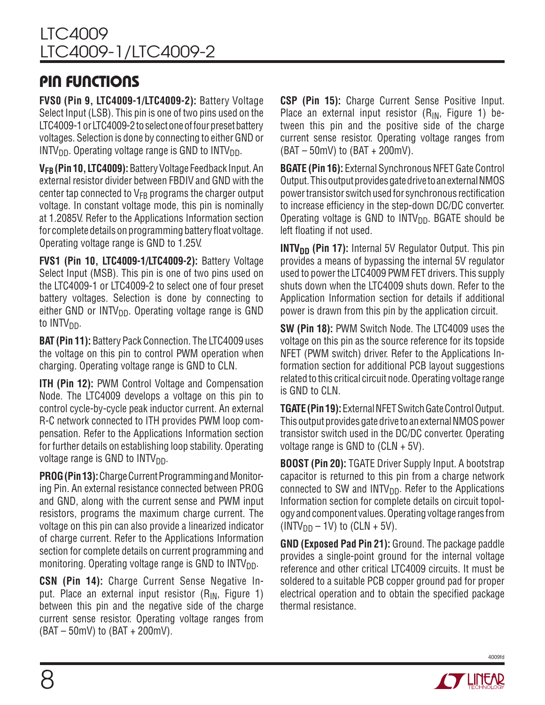## Pin Functions

**FVS0 (Pin 9, LTC4009-1/LTC4009-2):** Battery Voltage Select Input (LSB). This pin is one of two pins used on the LTC4009-1 or LTC4009-2 to select one of four preset battery voltages. Selection is done by connecting to either GND or  $INTV<sub>DD</sub>$ . Operating voltage range is GND to  $INTV<sub>DD</sub>$ .

**VFB (Pin 10, LTC4009):** Battery Voltage Feedback Input. An external resistor divider between FBDIV and GND with the center tap connected to  $V_{FB}$  programs the charger output voltage. In constant voltage mode, this pin is nominally at 1.2085V. Refer to the Applications Information section for complete details on programming battery float voltage. Operating voltage range is GND to 1.25V.

**FVS1 (Pin 10, LTC4009-1/LTC4009-2):** Battery Voltage Select Input (MSB). This pin is one of two pins used on the LTC4009-1 or LTC4009-2 to select one of four preset battery voltages. Selection is done by connecting to either GND or  $INTV<sub>DD</sub>$ . Operating voltage range is GND to  $INTV<sub>DD</sub>$ .

**BAT (Pin 11):** Battery Pack Connection. The LTC4009 uses the voltage on this pin to control PWM operation when charging. Operating voltage range is GND to CLN.

**ITH (Pin 12):** PWM Control Voltage and Compensation Node. The LTC4009 develops a voltage on this pin to control cycle-by-cycle peak inductor current. An external R-C network connected to ITH provides PWM loop compensation. Refer to the Applications Information section for further details on establishing loop stability. Operating voltage range is GND to  $INTV<sub>DD</sub>$ .

**PROG (Pin 13):** Charge Current Programming and Monitoring Pin. An external resistance connected between PROG and GND, along with the current sense and PWM input resistors, programs the maximum charge current. The voltage on this pin can also provide a linearized indicator of charge current. Refer to the Applications Information section for complete details on current programming and monitoring. Operating voltage range is GND to  $INTV<sub>DD</sub>$ .

**CSN (Pin 14):** Charge Current Sense Negative Input. Place an external input resistor  $(R_{IN},$  Figure 1) between this pin and the negative side of the charge current sense resistor. Operating voltage ranges from (BAT – 50mV) to (BAT + 200mV).

**CSP (Pin 15):** Charge Current Sense Positive Input. Place an external input resistor  $(R_{IN},$  Figure 1) between this pin and the positive side of the charge current sense resistor. Operating voltage ranges from (BAT – 50mV) to (BAT + 200mV).

**BGATE (Pin 16):** External Synchronous NFET Gate Control Output. This output provides gate drive to an external NMOS power transistor switch used for synchronous rectification to increase efficiency in the step-down DC/DC converter. Operating voltage is GND to  $INTV_{DD}$ . BGATE should be left floating if not used.

**INTV<sub>DD</sub>** (Pin 17): Internal 5V Regulator Output. This pin provides a means of bypassing the internal 5V regulator used to power the LTC4009 PWM FET drivers. This supply shuts down when the LTC4009 shuts down. Refer to the Application Information section for details if additional power is drawn from this pin by the application circuit.

**SW (Pin 18):** PWM Switch Node. The LTC4009 uses the voltage on this pin as the source reference for its topside NFET (PWM switch) driver. Refer to the Applications Information section for additional PCB layout suggestions related to this critical circuit node. Operating voltage range is GND to CLN.

**TGATE (Pin 19):** External NFET Switch Gate Control Output. This output provides gate drive to an external NMOS power transistor switch used in the DC/DC converter. Operating voltage range is GND to (CLN + 5V).

**BOOST (Pin 20):** TGATE Driver Supply Input. A bootstrap capacitor is returned to this pin from a charge network connected to SW and  $INTV<sub>DD</sub>$ . Refer to the Applications Information section for complete details on circuit topology and component values. Operating voltage ranges from (INTV<sub>DD</sub> – 1V) to (CLN + 5V).

**GND (Exposed Pad Pin 21):** Ground. The package paddle provides a single-point ground for the internal voltage reference and other critical LTC4009 circuits. It must be soldered to a suitable PCB copper ground pad for proper electrical operation and to obtain the specified package thermal resistance.

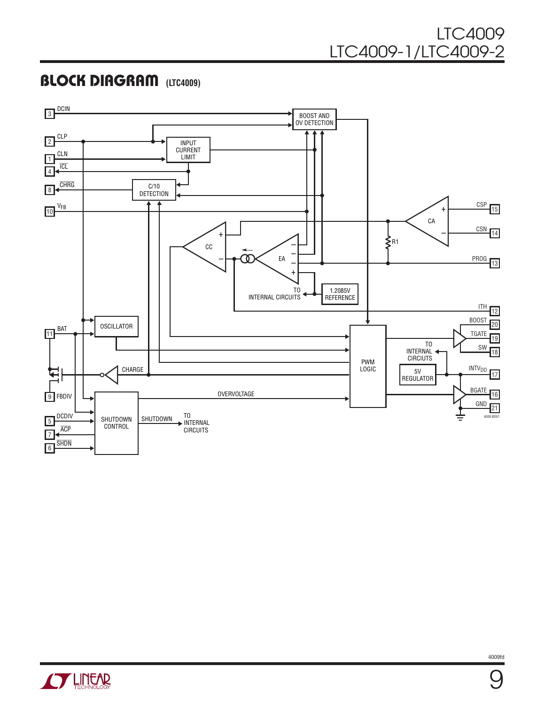### LTC4009 LTC4009-1/LTC4009-2

### **BLOCK DIAGRAM** (LTC4009)



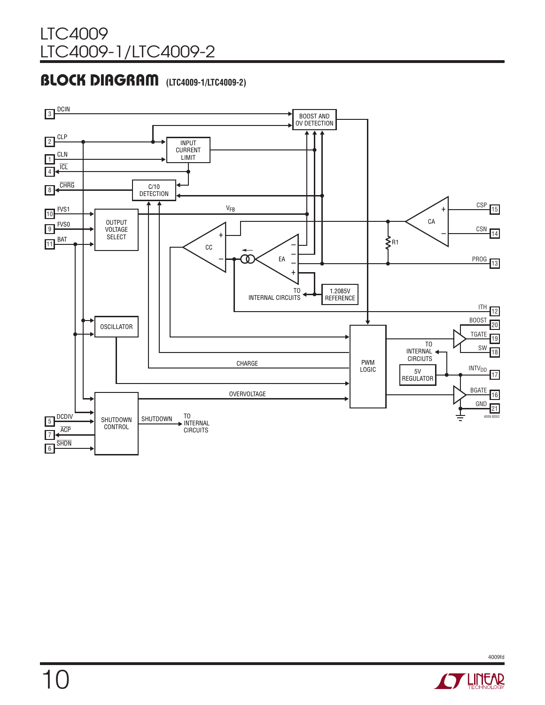### **BLOCK DIAGRAM** (LTC4009-1/LTC4009-2)



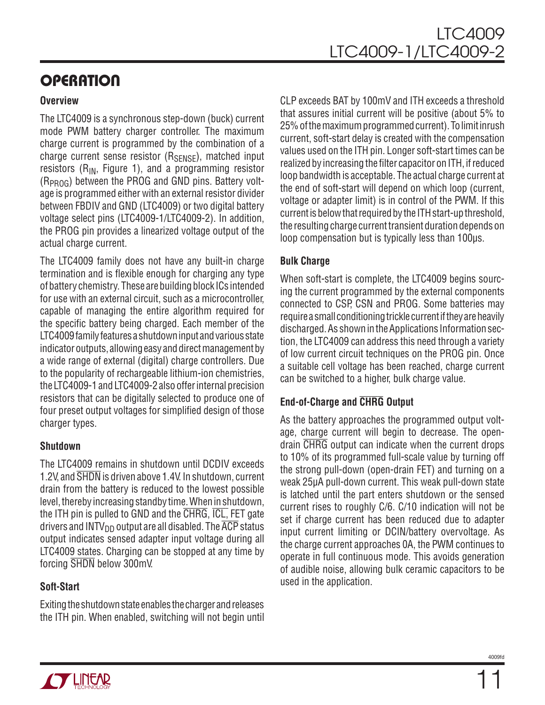# **OPERATION**

#### **Overview**

The LTC4009 is a synchronous step-down (buck) current mode PWM battery charger controller. The maximum charge current is programmed by the combination of a charge current sense resistor  $(R_{SENSF})$ , matched input resistors ( $R_{IN}$ , Figure 1), and a programming resistor  $(R_{\text{PROG}})$  between the PROG and GND pins. Battery voltage is programmed either with an external resistor divider between FBDIV and GND (LTC4009) or two digital battery voltage select pins (LTC4009-1/LTC4009-2). In addition, the PROG pin provides a linearized voltage output of the actual charge current.

The LTC4009 family does not have any built-in charge termination and is flexible enough for charging any type of battery chemistry. These are building block ICs intended for use with an external circuit, such as a microcontroller, capable of managing the entire algorithm required for the specific battery being charged. Each member of the LTC4009 family features a shutdown input and various state indicator outputs, allowing easy and direct management by a wide range of external (digital) charge controllers. Due to the popularity of rechargeable lithium-ion chemistries, the LTC4009-1 and LTC4009-2 also offer internal precision resistors that can be digitally selected to produce one of four preset output voltages for simplified design of those charger types.

#### **Shutdown**

The LTC4009 remains in shutdown until DCDIV exceeds 1.2V, and SHDN is driven above 1.4V. In shutdown, current drain from the battery is reduced to the lowest possible level, thereby increasing standby time. When in shutdown, the ITH pin is pulled to GND and the CHRG, ICL, FET gate drivers and INTV<sub>DD</sub> output are all disabled. The  $\overline{ACP}$  status output indicates sensed adapter input voltage during all LTC4009 states. Charging can be stopped at any time by forcing SHDN below 300mV.

#### **Soft-Start**

Exiting the shutdown state enables the charger and releases the ITH pin. When enabled, switching will not begin until CLP exceeds BAT by 100mV and ITH exceeds a threshold that assures initial current will be positive (about 5% to 25% of the maximum programmed current). To limit inrush current, soft-start delay is created with the compensation values used on the ITH pin. Longer soft-start times can be realized by increasing the filter capacitor on ITH, if reduced loop bandwidth is acceptable. The actual charge current at the end of soft-start will depend on which loop (current, voltage or adapter limit) is in control of the PWM. If this current is below that required by the ITH start-up threshold, the resulting charge current transient duration depends on loop compensation but is typically less than 100µs.

#### **Bulk Charge**

When soft-start is complete, the LTC4009 begins sourcing the current programmed by the external components connected to CSP, CSN and PROG. Some batteries may require a small conditioning trickle current if they are heavily discharged. As shown in the Applications Information section, the LTC4009 can address this need through a variety of low current circuit techniques on the PROG pin. Once a suitable cell voltage has been reached, charge current can be switched to a higher, bulk charge value.

### **End-of-Charge and CHRG Output**

As the battery approaches the programmed output voltage, charge current will begin to decrease. The opendrain CHRG output can indicate when the current drops to 10% of its programmed full-scale value by turning off the strong pull-down (open-drain FET) and turning on a weak 25µA pull-down current. This weak pull-down state is latched until the part enters shutdown or the sensed current rises to roughly C/6. C/10 indication will not be set if charge current has been reduced due to adapter input current limiting or DCIN/battery overvoltage. As the charge current approaches 0A, the PWM continues to operate in full continuous mode. This avoids generation of audible noise, allowing bulk ceramic capacitors to be used in the application.

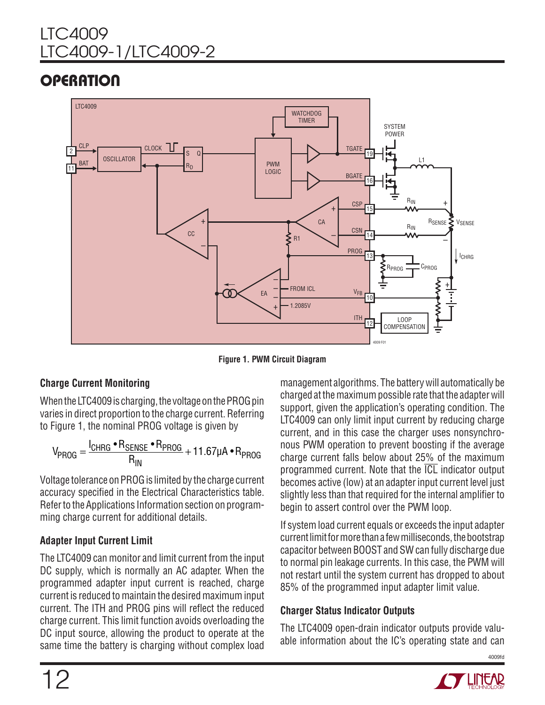# LTC4009 LTC4009-1/LTC4009-2

# **OPERATION**



**Figure 1. PWM Circuit Diagram**

### **Charge Current Monitoring**

When the LTC4009 is charging, the voltage on the PROG pin varies in direct proportion to the charge current. Referring to Figure 1, the nominal PROG voltage is given by

$$
V_{PROG} = \frac{I_{CHRG} \cdot R_{SENSE} \cdot R_{PROG}}{R_{IN}} + 11.67 \mu A \cdot R_{PROG}
$$

Voltage tolerance on PROG is limited by the charge current accuracy specified in the Electrical Characteristics table. Refer to the Applications Information section on programming charge current for additional details.

### **Adapter Input Current Limit**

The LTC4009 can monitor and limit current from the input DC supply, which is normally an AC adapter. When the programmed adapter input current is reached, charge current is reduced to maintain the desired maximum input current. The ITH and PROG pins will reflect the reduced charge current. This limit function avoids overloading the DC input source, allowing the product to operate at the same time the battery is charging without complex load

management algorithms. The battery will automatically be charged at the maximum possible rate that the adapter will support, given the application's operating condition. The LTC4009 can only limit input current by reducing charge current, and in this case the charger uses nonsynchronous PWM operation to prevent boosting if the average charge current falls below about 25% of the maximum programmed current. Note that the ICL indicator output becomes active (low) at an adapter input current level just slightly less than that required for the internal amplifier to begin to assert control over the PWM loop.

If system load current equals or exceeds the input adapter current limit for more than a few milliseconds, the bootstrap capacitor between BOOST and SW can fully discharge due to normal pin leakage currents. In this case, the PWM will not restart until the system current has dropped to about 85% of the programmed input adapter limit value.

#### **Charger Status Indicator Outputs**

The LTC4009 open-drain indicator outputs provide valuable information about the IC's operating state and can

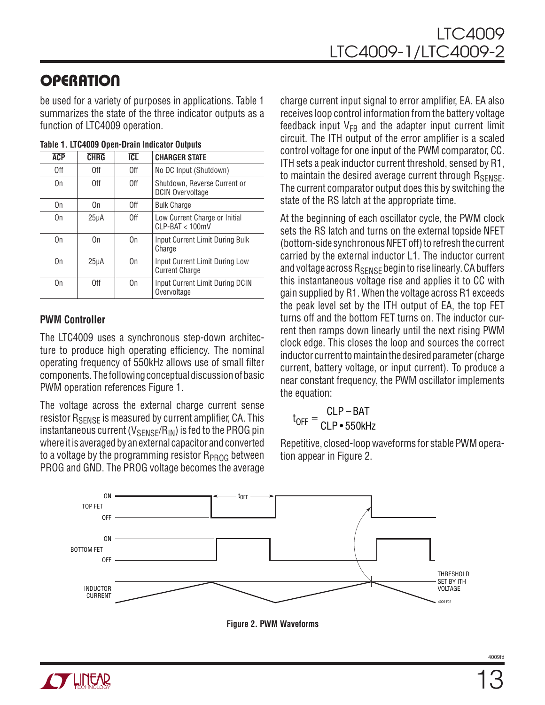# **OPERATION**

be used for a variety of purposes in applications. Table 1 summarizes the state of the three indicator outputs as a function of LTC4009 operation.

| <b>ACP</b> | <b>CHRG</b>       | <b>ICL</b> | <b>CHARGER STATE</b>                                    |
|------------|-------------------|------------|---------------------------------------------------------|
| 0ff        | 0ff               | 0ff        | No DC Input (Shutdown)                                  |
| On         | 0ff               | 0ff        | Shutdown, Reverse Current or<br><b>DCIN Overvoltage</b> |
| On         | On                | 0ff        | <b>Bulk Charge</b>                                      |
| On         | 25 <sub>µ</sub> A | 0ff        | Low Current Charge or Initial<br>$CI$ P-BAT $<$ 100mV   |
| 0n         | 0n                | 0n         | Input Current Limit During Bulk<br>Charge               |
| On         | 25 <sub>µ</sub> A | On         | Input Current Limit During Low<br><b>Current Charge</b> |
| On         | 0ff               | On         | Input Current Limit During DCIN<br>Overvoltage          |

#### **Table 1. LTC4009 Open-Drain Indicator Outputs**

#### **PWM Controller**

The LTC4009 uses a synchronous step-down architecture to produce high operating efficiency. The nominal operating frequency of 550kHz allows use of small filter components. The following conceptual discussion of basic PWM operation references Figure 1.

The voltage across the external charge current sense resistor R<sub>SENSE</sub> is measured by current amplifier, CA. This instantaneous current ( $V_{\text{SENSF}}/R_{\text{IN}}$ ) is fed to the PROG pin where it is averaged by an external capacitor and converted to a voltage by the programming resistor  $R_{PROG}$  between PROG and GND. The PROG voltage becomes the average charge current input signal to error amplifier, EA. EA also receives loop control information from the battery voltage feedback input  $V_{FB}$  and the adapter input current limit circuit. The ITH output of the error amplifier is a scaled control voltage for one input of the PWM comparator, CC. ITH sets a peak inductor current threshold, sensed by R1, to maintain the desired average current through RSENSE. The current comparator output does this by switching the state of the RS latch at the appropriate time.

At the beginning of each oscillator cycle, the PWM clock sets the RS latch and turns on the external topside NFET (bottom-side synchronous NFET off) to refresh the current carried by the external inductor L1. The inductor current and voltage across  $R_{\text{SENSE}}$  begin to rise linearly. CA buffers this instantaneous voltage rise and applies it to CC with gain supplied by R1. When the voltage across R1 exceeds the peak level set by the ITH output of EA, the top FET turns off and the bottom FET turns on. The inductor current then ramps down linearly until the next rising PWM clock edge. This closes the loop and sources the correct inductor current to maintain the desired parameter (charge current, battery voltage, or input current). To produce a near constant frequency, the PWM oscillator implements the equation:

$$
t_{OFF} = \frac{CLP - BAT}{CLP \cdot 550kHz}
$$

Repetitive, closed-loop waveforms for stable PWM operation appear in Figure 2.

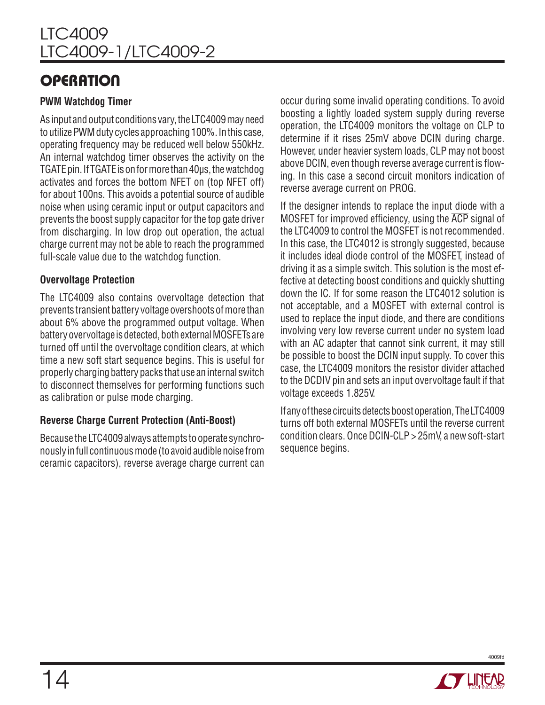### **OPERATION**

#### **PWM Watchdog Timer**

As input and output conditions vary, the LTC4009 may need to utilize PWM duty cycles approaching 100%. In this case, operating frequency may be reduced well below 550kHz. An internal watchdog timer observes the activity on the TGATE pin. If TGATE is on for more than 40µs, the watchdog activates and forces the bottom NFET on (top NFET off) for about 100ns. This avoids a potential source of audible noise when using ceramic input or output capacitors and prevents the boost supply capacitor for the top gate driver from discharging. In low drop out operation, the actual charge current may not be able to reach the programmed full-scale value due to the watchdog function.

#### **Overvoltage Protection**

The LTC4009 also contains overvoltage detection that prevents transient battery voltage overshoots of more than about 6% above the programmed output voltage. When battery overvoltage is detected, both external MOSFETs are turned off until the overvoltage condition clears, at which time a new soft start sequence begins. This is useful for properly charging battery packs that use an internal switch to disconnect themselves for performing functions such as calibration or pulse mode charging.

### **Reverse Charge Current Protection (Anti-Boost)**

Because the LTC4009 always attempts to operate synchronously in full continuous mode (to avoid audible noise from ceramic capacitors), reverse average charge current can

occur during some invalid operating conditions. To avoid boosting a lightly loaded system supply during reverse operation, the LTC4009 monitors the voltage on CLP to determine if it rises 25mV above DCIN during charge. However, under heavier system loads, CLP may not boost above DCIN, even though reverse average current is flowing. In this case a second circuit monitors indication of reverse average current on PROG.

If the designer intends to replace the input diode with a MOSFET for improved efficiency, using the ACP signal of the LTC4009 to control the MOSFET is not recommended. In this case, the LTC4012 is strongly suggested, because it includes ideal diode control of the MOSFET, instead of driving it as a simple switch. This solution is the most effective at detecting boost conditions and quickly shutting down the IC. If for some reason the LTC4012 solution is not acceptable, and a MOSFET with external control is used to replace the input diode, and there are conditions involving very low reverse current under no system load with an AC adapter that cannot sink current, it may still be possible to boost the DCIN input supply. To cover this case, the LTC4009 monitors the resistor divider attached to the DCDIV pin and sets an input overvoltage fault if that voltage exceeds 1.825V.

If any of these circuits detects boost operation, The LTC4009 turns off both external MOSFETs until the reverse current condition clears. Once DCIN-CLP > 25mV, a new soft-start sequence begins.

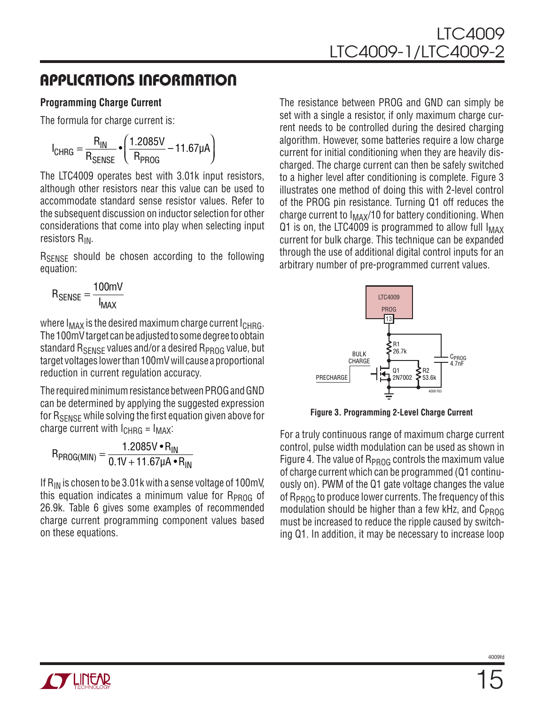#### **Programming Charge Current**

The formula for charge current is:

$$
I_{CHRG} = \frac{R_{IN}}{R_{SENSE}} \cdot \left(\frac{1.2085V}{R_{PROG}} - 11.67\mu A\right)
$$

The LTC4009 operates best with 3.01k input resistors, although other resistors near this value can be used to accommodate standard sense resistor values. Refer to the subsequent discussion on inductor selection for other considerations that come into play when selecting input resistors  $R_{IN}$ .

R<sub>SENSE</sub> should be chosen according to the following equation:

$$
\mathsf{R}_{\mathsf{SENSE}} = \frac{100\text{mV}}{I_{\mathsf{MAX}}}
$$

where  $I_{MAX}$  is the desired maximum charge current  $I_{CHRG}$ . The 100mV target can be adjusted to some degree to obtain standard  $R_{\text{SENSE}}$  values and/or a desired  $R_{\text{PROG}}$  value, but target voltages lower than 100mV will cause a proportional reduction in current regulation accuracy.

The required minimum resistance between PROG and GND can be determined by applying the suggested expression for  $R_{\text{SENSE}}$  while solving the first equation given above for charge current with  $I_{CHRG} = I_{MAX}$ :

$$
R_{PROG(MIN)} = \frac{1.2085 V \cdot R_{IN}}{0.1 V + 11.67 \mu A \cdot R_{IN}}
$$

If  $R_{IN}$  is chosen to be 3.01k with a sense voltage of 100mV, this equation indicates a minimum value for  $R_{PROG}$  of 26.9k. Table 6 gives some examples of recommended charge current programming component values based on these equations.

The resistance between PROG and GND can simply be set with a single a resistor, if only maximum charge current needs to be controlled during the desired charging algorithm. However, some batteries require a low charge current for initial conditioning when they are heavily discharged. The charge current can then be safely switched to a higher level after conditioning is complete. Figure 3 illustrates one method of doing this with 2-level control of the PROG pin resistance. Turning Q1 off reduces the charge current to  $I_{MAX}/10$  for battery conditioning. When Q1 is on, the LTC4009 is programmed to allow full  $I_{MAX}$ current for bulk charge. This technique can be expanded through the use of additional digital control inputs for an arbitrary number of pre-programmed current values.



**Figure 3. Programming 2-Level Charge Current**

For a truly continuous range of maximum charge current control, pulse width modulation can be used as shown in Figure 4. The value of  $R_{PROG}$  controls the maximum value of charge current which can be programmed (Q1 continuously on). PWM of the Q1 gate voltage changes the value of R<sub>PROG</sub> to produce lower currents. The frequency of this modulation should be higher than a few kHz, and  $C_{PROG}$ must be increased to reduce the ripple caused by switching Q1. In addition, it may be necessary to increase loop

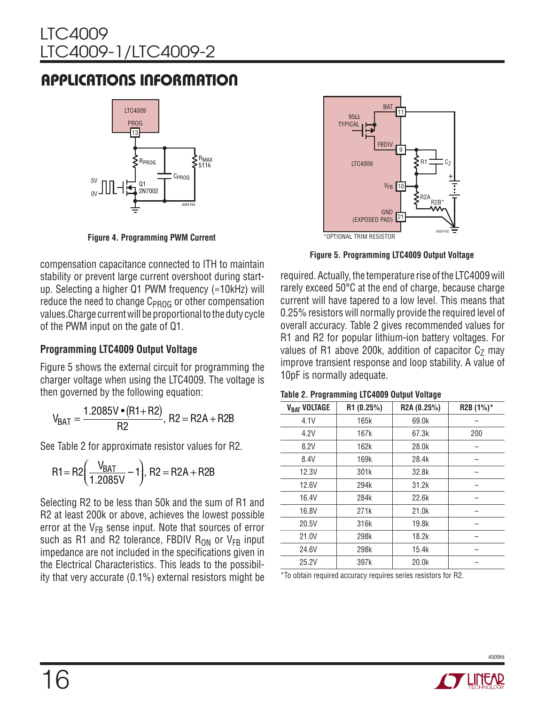## LTC4009 LTC4009-1/LTC4009-2

# Applications Information



**Figure 4. Programming PWM Current** 

compensation capacitance connected to ITH to maintain stability or prevent large current overshoot during startup. Selecting a higher Q1 PWM frequency (≈10kHz) will reduce the need to change  $C_{PROG}$  or other compensation values.Charge current will be proportional to the duty cycle of the PWM input on the gate of Q1.

#### **Programming LTC4009 Output Voltage**

Figure 5 shows the external circuit for programming the charger voltage when using the LTC4009. The voltage is then governed by the following equation:

$$
V_{BAT} = \frac{1.2085V \cdot (R1 + R2)}{R2}, R2 = R2A + R2B
$$

See Table 2 for approximate resistor values for R2.

$$
R1 = R2 \left( \frac{V_{BAT}}{1.2085V} - 1 \right), R2 = R2A + R2B
$$

Selecting R2 to be less than 50k and the sum of R1 and R2 at least 200k or above, achieves the lowest possible error at the  $V_{FB}$  sense input. Note that sources of error such as R1 and R2 tolerance, FBDIV  $R_{ON}$  or  $V_{FB}$  input impedance are not included in the specifications given in the Electrical Characteristics. This leads to the possibility that very accurate (0.1%) external resistors might be



**Figure 5. Programming LTC4009 Output Voltage**

required. Actually, the temperature rise of the LTC4009 will rarely exceed 50°C at the end of charge, because charge current will have tapered to a low level. This means that 0.25% resistors will normally provide the required level of overall accuracy. Table 2 gives recommended values for R1 and R2 for popular lithium-ion battery voltages. For values of R1 above 200k, addition of capacitor  $C<sub>Z</sub>$  may improve transient response and loop stability. A value of 10pF is normally adequate.

| V <sub>BAT</sub> VOLTAGE | R1 (0.25%) | R2A (0.25%) | R2B (1%)* |
|--------------------------|------------|-------------|-----------|
| 4.1V                     | 165k       | 69.0k       |           |
| 4.2V                     | 167k       | 67.3k       | 200       |
| 8.2V                     | 162k       | 28.0k       |           |
| 8.4V                     | 169k       | 28.4k       |           |
| 12.3V                    | 301k       | 32.8k       |           |
| 12.6V                    | 294k       | 31.2k       |           |
| 16.4V                    | 284k       | 22.6k       |           |
| 16.8V                    | 271k       | 21.0k       |           |
| 20.5V                    | 316k       | 19.8k       |           |
| 21.0V                    | 298k       | 18.2k       |           |
| 24.6V                    | 298k       | 15.4k       |           |
| 25.2V                    | 397k       | 20.0k       |           |

**Table 2. Programming LTC4009 Output Voltage** 

\*To obtain required accuracy requires series resistors for R2.

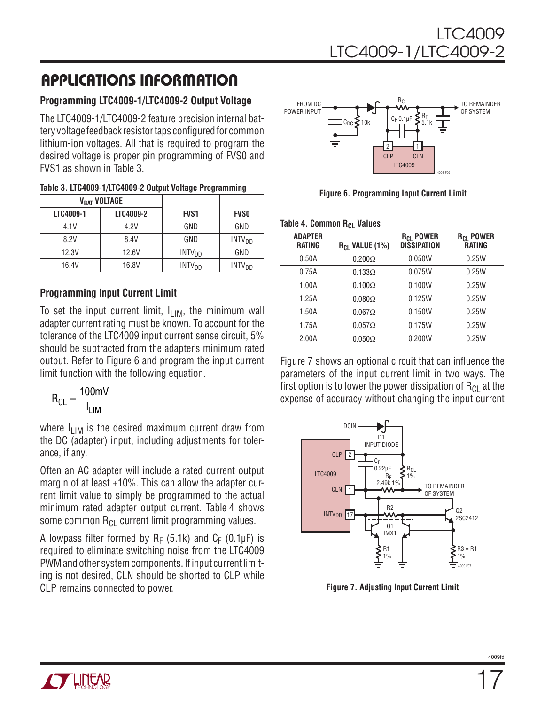#### **Programming LTC4009-1/LTC4009-2 Output Voltage**

The LTC4009-1/LTC4009-2 feature precision internal battery voltage feedback resistor taps configured for common lithium-ion voltages. All that is required to program the desired voltage is proper pin programming of FVS0 and FVS1 as shown in Table 3.

| Table 3. LTC4009-1/LTC4009-2 Output Voltage Programming |  |  |
|---------------------------------------------------------|--|--|
|---------------------------------------------------------|--|--|

|           | V <sub>BAT</sub> VOLTAGE |                          |                          |
|-----------|--------------------------|--------------------------|--------------------------|
| LTC4009-1 | LTC4009-2                | <b>FVS1</b>              | <b>FVSO</b>              |
| 4.1V      | 4.2V                     | GND                      | GND                      |
| 8.2V      | 8.4V                     | GND                      | INTV <sub>DD</sub>       |
| 12.3V     | 12.6V                    | INTV <sub>DD</sub>       | GND                      |
| 16.4V     | 16.8V                    | <b>INTV<sub>DD</sub></b> | <b>INTV<sub>DD</sub></b> |

#### **Programming Input Current Limit**

To set the input current limit,  $I_{LIM}$ , the minimum wall adapter current rating must be known. To account for the tolerance of the LTC4009 input current sense circuit, 5% should be subtracted from the adapter's minimum rated output. Refer to Figure 6 and program the input current limit function with the following equation.

$$
R_{CL} = \frac{100 \text{mV}}{I_{LIM}}
$$

where  $I_{LIM}$  is the desired maximum current draw from the DC (adapter) input, including adjustments for tolerance, if any.

Often an AC adapter will include a rated current output margin of at least +10%. This can allow the adapter current limit value to simply be programmed to the actual minimum rated adapter output current. Table 4 shows some common  $R_{Cl}$  current limit programming values.

A lowpass filter formed by  $R_F$  (5.1k) and  $C_F$  (0.1µF) is required to eliminate switching noise from the LTC4009 PWM and other system components. If input current limiting is not desired, CLN should be shorted to CLP while CLP remains connected to power.



**Figure 6. Programming Input Current Limit** 

| Table 4. Common R <sub>CL</sub> Values |  |  |
|----------------------------------------|--|--|
|----------------------------------------|--|--|

|                          | --                         |                                                   |                                              |
|--------------------------|----------------------------|---------------------------------------------------|----------------------------------------------|
| <b>ADAPTER</b><br>RATING | R <sub>CL</sub> VALUE (1%) | <b>R<sub>CL</sub> POWER</b><br><b>DISSIPATION</b> | <b>R<sub>CL</sub> POWER</b><br><b>RATING</b> |
| 0.50A                    | $0.200\Omega$              | 0.050W                                            | 0.25W                                        |
| 0.75A                    | $0.133\Omega$              | 0.075W                                            | 0.25W                                        |
| 1.00A                    | $0.100\Omega$              | 0.100W                                            | 0.25W                                        |
| 1.25A                    | $0.080\Omega$              | 0.125W                                            | 0.25W                                        |
| 1.50A                    | $0.067\Omega$              | 0.150W                                            | 0.25W                                        |
| 1.75A                    | $0.057\Omega$              | 0.175W                                            | 0.25W                                        |
| 2.00A                    | $0.050\Omega$              | 0.200W                                            | 0.25W                                        |
|                          |                            |                                                   |                                              |

Figure 7 shows an optional circuit that can influence the parameters of the input current limit in two ways. The first option is to lower the power dissipation of  $R_{Cl}$  at the expense of accuracy without changing the input current



**Figure 7. Adjusting Input Current Limit**

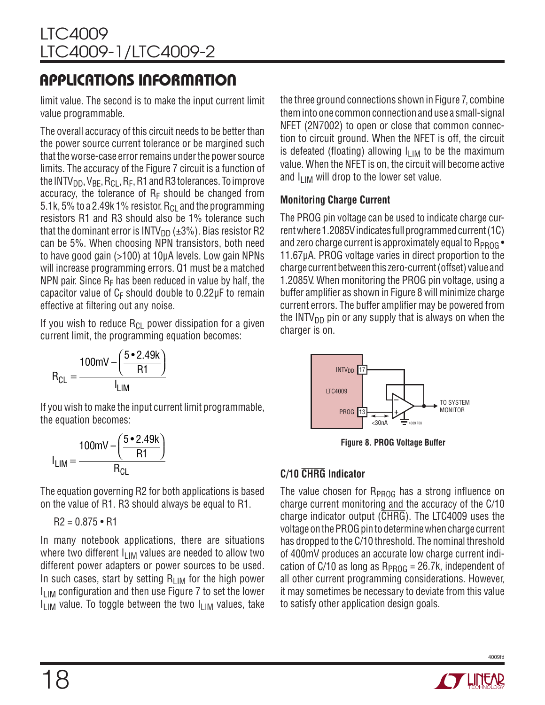limit value. The second is to make the input current limit value programmable.

The overall accuracy of this circuit needs to be better than the power source current tolerance or be margined such that the worse-case error remains under the power source limits. The accuracy of the Figure 7 circuit is a function of the INTV<sub>DD</sub>, V<sub>BE</sub>, R<sub>CL</sub>, R<sub>E</sub>, R1 and R3 tolerances. To improve accuracy, the tolerance of  $R_F$  should be changed from 5.1k, 5% to a 2.49k 1% resistor.  $R_{Cl}$  and the programming resistors R1 and R3 should also be 1% tolerance such that the dominant error is  $INTV<sub>DD</sub>$  ( $\pm 3\%$ ). Bias resistor R2 can be 5%. When choosing NPN transistors, both need to have good gain (>100) at 10µA levels. Low gain NPNs will increase programming errors. Q1 must be a matched NPN pair. Since  $R_F$  has been reduced in value by half, the capacitor value of  $C_F$  should double to 0.22 $\mu$ F to remain effective at filtering out any noise.

If you wish to reduce  $R_{Cl}$  power dissipation for a given current limit, the programming equation becomes:

$$
R_{CL} = \frac{100 \text{mV} - \left(\frac{5 \cdot 2.49 \text{k}}{\text{R1}}\right)}{I_{LIM}}
$$

If you wish to make the input current limit programmable, the equation becomes:

$$
I_{LIM} = \frac{100 \text{mV} - \left(\frac{5 \cdot 2.49 \text{k}}{\text{R1}}\right)}{R_{CL}}
$$

The equation governing R2 for both applications is based on the value of R1. R3 should always be equal to R1.

$$
R2 = 0.875 \cdot R1
$$

In many notebook applications, there are situations where two different  $I_{LIM}$  values are needed to allow two different power adapters or power sources to be used. In such cases, start by setting  $R_{LIM}$  for the high power  $I_{\text{I} \text{I} \text{M}}$  configuration and then use Figure 7 to set the lower I<sub>LIM</sub> value. To toggle between the two I<sub>LIM</sub> values, take

the three ground connections shown in Figure 7, combine them into one common connection and use a small-signal NFET (2N7002) to open or close that common connection to circuit ground. When the NFET is off, the circuit is defeated (floating) allowing  $I_{LIM}$  to be the maximum value. When the NFET is on, the circuit will become active and  $I_{\text{LIM}}$  will drop to the lower set value.

#### **Monitoring Charge Current**

The PROG pin voltage can be used to indicate charge current where 1.2085V indicates full programmed current (1C) and zero charge current is approximately equal to  $R_{PROG}$ . 11.67µA. PROG voltage varies in direct proportion to the charge current between this zero-current (offset) value and 1.2085V. When monitoring the PROG pin voltage, using a buffer amplifier as shown in Figure 8 will minimize charge current errors. The buffer amplifier may be powered from the INTV<sub>DD</sub> pin or any supply that is always on when the charger is on.



**Figure 8. PROG Voltage Buffer**

### **C/10 CHRG Indicator**

The value chosen for  $R_{PROG}$  has a strong influence on charge current monitoring and the accuracy of the C/10 charge indicator output  $(\overline{\text{CHRG}})$ . The LTC4009 uses the voltage on the PROG pin to determine when charge current has dropped to the C/10 threshold. The nominal threshold of 400mV produces an accurate low charge current indication of C/10 as long as  $R_{PROG} = 26.7k$ , independent of all other current programming considerations. However, it may sometimes be necessary to deviate from this value to satisfy other application design goals.

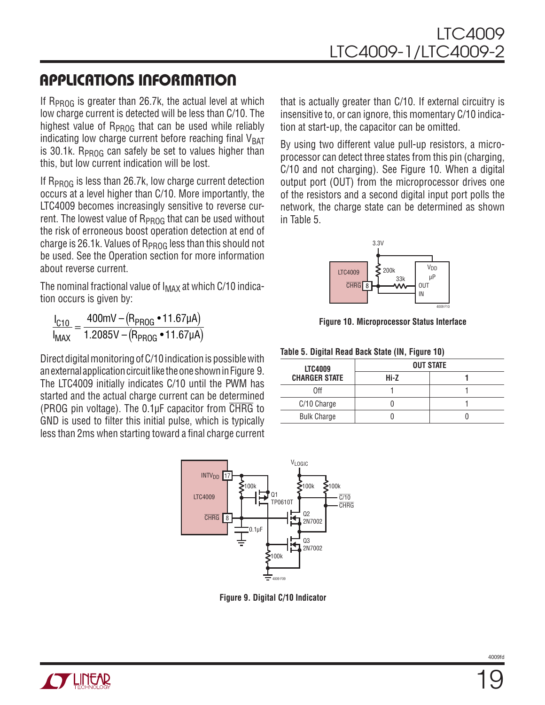If  $R_{PROG}$  is greater than 26.7k, the actual level at which low charge current is detected will be less than C/10. The highest value of  $R_{PROG}$  that can be used while reliably indicating low charge current before reaching final  $V_{\text{BAT}}$ is 30.1k. R<sub>PROG</sub> can safely be set to values higher than this, but low current indication will be lost.

If  $R_{PROG}$  is less than 26.7k, low charge current detection occurs at a level higher than C/10. More importantly, the LTC4009 becomes increasingly sensitive to reverse current. The lowest value of  $R_{PROG}$  that can be used without the risk of erroneous boost operation detection at end of charge is 26.1k. Values of  $R_{PROG}$  less than this should not be used. See the Operation section for more information about reverse current.

The nominal fractional value of  $I_{MAX}$  at which C/10 indication occurs is given by:

I I mV – (R<sub>PR∩G</sub> ∙ 11.67µA V – (R C MAX PROG PROG  $\frac{10}{\text{AX}} = \frac{400 \text{mV} - (\text{R}_{\text{PROG}} \bullet 11.67 \mu \text{A})}{1.2085 \text{V} - (\text{R}_{\text{PROG}} \bullet 11.67 \mu \text{A})}$ 

Direct digital monitoring of C/10 indication is possible with an external application circuit like the one shown in Figure 9. The LTC4009 initially indicates C/10 until the PWM has started and the actual charge current can be determined (PROG pin voltage). The 0.1µF capacitor from CHRG to GND is used to filter this initial pulse, which is typically less than 2ms when starting toward a final charge current that is actually greater than C/10. If external circuitry is insensitive to, or can ignore, this momentary C/10 indication at start-up, the capacitor can be omitted.

By using two different value pull-up resistors, a microprocessor can detect three states from this pin (charging, C/10 and not charging). See Figure 10. When a digital output port (OUT) from the microprocessor drives one of the resistors and a second digital input port polls the network, the charge state can be determined as shown in Table 5.



**Figure 10. Microprocessor Status Interface**

#### **Table 5. Digital Read Back State (IN, Figure 10)**

| <b>LTC4009</b>       |      | <b>OUT STATE</b> |
|----------------------|------|------------------|
| <b>CHARGER STATE</b> | Hi-Z |                  |
| 0ff                  |      |                  |
| C/10 Charge          |      |                  |
| <b>Bulk Charge</b>   |      |                  |



**Figure 9. Digital C/10 Indicator**

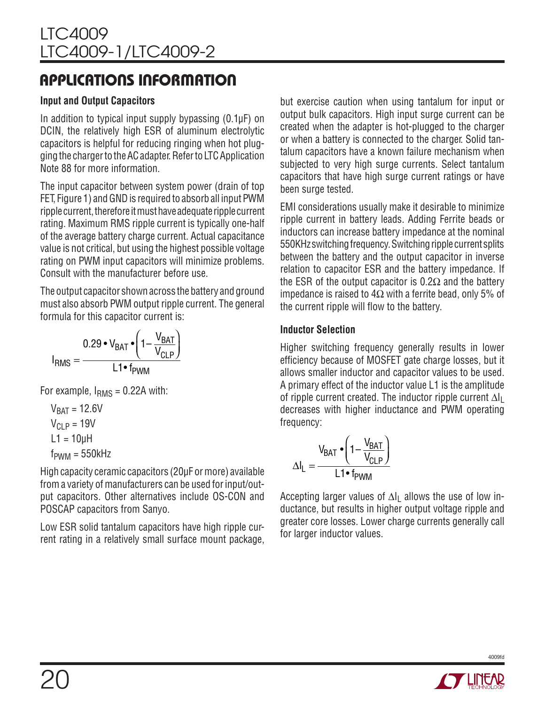#### **Input and Output Capacitors**

In addition to typical input supply bypassing (0.1µF) on DCIN, the relatively high ESR of aluminum electrolytic capacitors is helpful for reducing ringing when hot plugging the charger to the AC adapter. Refer to LTC Application Note 88 for more information.

The input capacitor between system power (drain of top FET, Figure 1) and GND is required to absorb all input PWM ripple current, therefore it must have adequate ripple current rating. Maximum RMS ripple current is typically one-half of the average battery charge current. Actual capacitance value is not critical, but using the highest possible voltage rating on PWM input capacitors will minimize problems. Consult with the manufacturer before use.

The output capacitor shown across the battery and ground must also absorb PWM output ripple current. The general formula for this capacitor current is:

$$
I_{RMS} = \frac{0.29 \cdot V_{BAT} \cdot \left(1 - \frac{V_{BAT}}{V_{CLP}}\right)}{L1 \cdot f_{PWM}}
$$

For example,  $I<sub>RMS</sub> = 0.22A$  with:

$$
V_{BAT} = 12.6V
$$

$$
V_{CLP} = 19V
$$

$$
L1 = 10\mu H
$$

$$
f_{PWM} = 550kHz
$$

High capacity ceramic capacitors (20µF or more) available from a variety of manufacturers can be used for input/output capacitors. Other alternatives include OS-CON and POSCAP capacitors from Sanyo.

Low ESR solid tantalum capacitors have high ripple current rating in a relatively small surface mount package, but exercise caution when using tantalum for input or output bulk capacitors. High input surge current can be created when the adapter is hot-plugged to the charger or when a battery is connected to the charger. Solid tantalum capacitors have a known failure mechanism when subjected to very high surge currents. Select tantalum capacitors that have high surge current ratings or have been surge tested.

EMI considerations usually make it desirable to minimize ripple current in battery leads. Adding Ferrite beads or inductors can increase battery impedance at the nominal 550KHz switching frequency. Switching ripple current splits between the battery and the output capacitor in inverse relation to capacitor ESR and the battery impedance. If the ESR of the output capacitor is  $0.2\Omega$  and the battery impedance is raised to  $4\Omega$  with a ferrite bead, only 5% of the current ripple will flow to the battery.

#### **Inductor Selection**

Higher switching frequency generally results in lower efficiency because of MOSFET gate charge losses, but it allows smaller inductor and capacitor values to be used. A primary effect of the inductor value L1 is the amplitude of ripple current created. The inductor ripple current  $\Delta I_L$ decreases with higher inductance and PWM operating frequency:

$$
\Delta I_L = \frac{V_{BAT} \cdot \left(1 - \frac{V_{BAT}}{V_{CLP}}\right)}{L1 \cdot f_{PWM}}
$$

Accepting larger values of  $\Delta I_1$  allows the use of low inductance, but results in higher output voltage ripple and greater core losses. Lower charge currents generally call for larger inductor values.

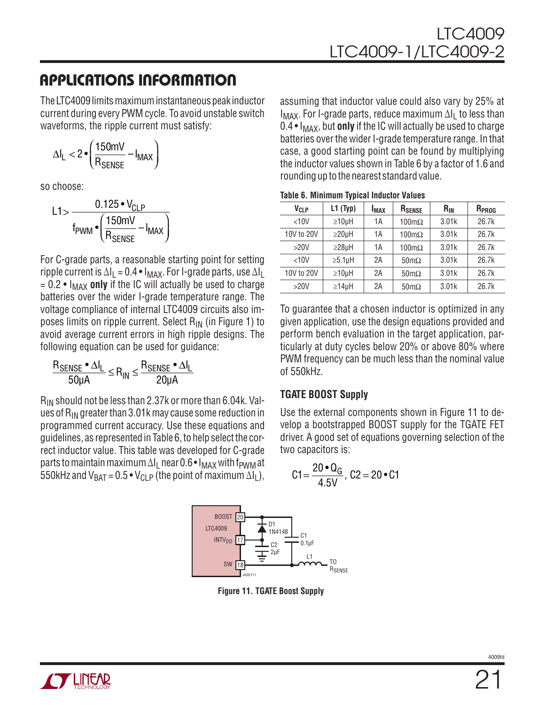The LTC4009 limits maximum instantaneous peak inductor current during every PWM cycle. To avoid unstable switch waveforms, the ripple current must satisfy:

$$
\Delta I_L < 2 \cdot \left(\frac{150 mV}{R_{SENSE}} - I_{MAX}\right)
$$

so choose:

$$
L1 > \frac{0.125 \cdot V_{CLP}}{f_{PWM} \cdot \left(\frac{150 \text{mV}}{R_{SENSE}} - I_{MAX}\right)}
$$

For C-grade parts, a reasonable starting point for setting ripple current is  $\Delta I_L = 0.4 \cdot I_{MAX}$ . For I-grade parts, use  $\Delta I_L$  $= 0.2 \cdot I_{MAX}$  only if the IC will actually be used to charge batteries over the wider I-grade temperature range. The voltage compliance of internal LTC4009 circuits also imposes limits on ripple current. Select RIN (in Figure 1) to avoid average current errors in high ripple designs. The following equation can be used for guidance:

$$
\frac{R_{\text{SENSE}} \cdot \Delta I_L}{50 \mu A} \leq R_{IN} \leq \frac{R_{\text{SENSE}} \cdot \Delta I_L}{20 \mu A}
$$

 $R_{IN}$  should not be less than 2.37k or more than 6.04k. Values of R<sub>IN</sub> greater than 3.01k may cause some reduction in programmed current accuracy. Use these equations and guidelines, as represented in Table 6, to help select the correct inductor value. This table was developed for C-grade parts to maintain maximum  $\Delta I_1$  near 0.6 •  $I_{MAX}$  with f<sub>PWM</sub> at 550kHz and  $V_{BAT} = 0.5 \cdot V_{CLP}$  (the point of maximum  $\Delta I_L$ ),

assuming that inductor value could also vary by 25% at  $I_{MAX}$ . For I-grade parts, reduce maximum  $\Delta I_1$  to less than  $0.4 \cdot I_{MAX}$ , but **only** if the IC will actually be used to charge batteries over the wider I-grade temperature range. In that case, a good starting point can be found by multiplying the inductor values shown in Table 6 by a factor of 1.6 and rounding up to the nearest standard value.

| Table 6. Minimum Typical Inductor Values |  |  |  |  |  |  |
|------------------------------------------|--|--|--|--|--|--|
|------------------------------------------|--|--|--|--|--|--|

| V <sub>CLP</sub> | L1(Typ)       | <b>I</b> <sub>MAX</sub> | R <sub>SENSE</sub>   | $R_{IN}$ | R <sub>PROG</sub> |
|------------------|---------------|-------------------------|----------------------|----------|-------------------|
| <10V             | $\geq 10$ µH  | 1A                      | $100 \text{m}\Omega$ | 3.01k    | 26.7k             |
| 10V to 20V       | $\geq$ 20µH   | 1А                      | $100 \text{m}\Omega$ | 3.01k    | 26.7k             |
| >20V             | $\geq$ 28µH   | 1A                      | $100 \text{m}\Omega$ | 3.01k    | 26.7k             |
| <10V             | $\geq 5.1$ µH | 2A                      | $50 \text{m}\Omega$  | 3.01k    | 26.7k             |
| 10V to 20V       | $\geq 10$ µH  | 2A                      | $50 \text{m}\Omega$  | 3.01k    | 26.7k             |
| >20V             | $\geq 14$ µH  | 2A                      | $50 \text{m}\Omega$  | 3.01k    | 26.7k             |

To guarantee that a chosen inductor is optimized in any given application, use the design equations provided and perform bench evaluation in the target application, particularly at duty cycles below 20% or above 80% where PWM frequency can be much less than the nominal value of 550kHz.

#### **TGATE BOOST Supply**

Use the external components shown in Figure 11 to develop a bootstrapped BOOST supply for the TGATE FET driver. A good set of equations governing selection of the two capacitors is:

$$
C1 = \frac{20 \cdot Q_G}{4.5V}, \ C2 = 20 \cdot C1
$$



**Figure 11. TGATE Boost Supply**

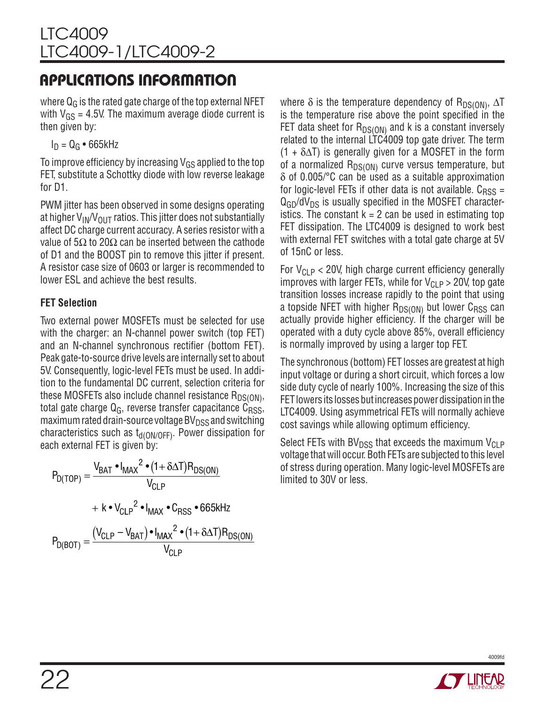where  $Q_G$  is the rated gate charge of the top external NFET with  $V_{GS}$  = 4.5V. The maximum average diode current is then given by:

 $I_D = Q_G \cdot 665$ kHz

To improve efficiency by increasing  $V_{GS}$  applied to the top FET, substitute a Schottky diode with low reverse leakage for D1.

PWM jitter has been observed in some designs operating at higher  $V_{IN}/V_{OIII}$  ratios. This jitter does not substantially affect DC charge current accuracy. A series resistor with a value of 5Ω to 20Ω can be inserted between the cathode of D1 and the BOOST pin to remove this jitter if present. A resistor case size of 0603 or larger is recommended to lower ESL and achieve the best results.

### **FET Selection**

Two external power MOSFETs must be selected for use with the charger: an N-channel power switch (top FET) and an N-channel synchronous rectifier (bottom FET). Peak gate-to-source drive levels are internally set to about 5V. Consequently, logic-level FETs must be used. In addition to the fundamental DC current, selection criteria for these MOSFETs also include channel resistance  $R_{DS(ON)}$ , total gate charge  $Q_G$ , reverse transfer capacitance  $C_{RSS}$ , maximum rated drain-source voltage  $BV<sub>DSS</sub>$  and switching characteristics such as  $t_{\rm d(ON/OFF)}$ . Power dissipation for each external FET is given by:

$$
P_{D(TOP)} = \frac{V_{BAT} \cdot I_{MAX}^2 \cdot (1 + \delta \Delta T) R_{DS(ON)}}{V_{CLP}}
$$
  
+  $k \cdot V_{CLP}^2 \cdot I_{MAX} \cdot C_{RSS} \cdot 665kHz$   

$$
P_{D(BOT)} = \frac{(V_{CLP} - V_{BAT}) \cdot I_{MAX}^2 \cdot (1 + \delta \Delta T) R_{DS(ON)}}{V_{CLP}}
$$

where  $\delta$  is the temperature dependency of R<sub>DS(ON)</sub>,  $\Delta T$ is the temperature rise above the point specified in the FET data sheet for  $R_{DS(ON)}$  and k is a constant inversely related to the internal LTC4009 top gate driver. The term  $(1 + \delta \Delta T)$  is generally given for a MOSFET in the form of a normalized  $R_{DS(ON)}$  curve versus temperature, but δ of 0.005/°C can be used as a suitable approximation for logic-level FETs if other data is not available.  $C_{RSS} =$  $Q_{GD}/dV_{DS}$  is usually specified in the MOSFET characteristics. The constant  $k = 2$  can be used in estimating top FET dissipation. The LTC4009 is designed to work best with external FET switches with a total gate charge at 5V of 15nC or less.

For  $V_{CLP}$  < 20V, high charge current efficiency generally improves with larger FETs, while for  $V_{CLP} > 20V$ , top gate transition losses increase rapidly to the point that using a topside NFET with higher  $R_{DS(ON)}$  but lower  $C_{RSS}$  can actually provide higher efficiency. If the charger will be operated with a duty cycle above 85%, overall efficiency is normally improved by using a larger top FET.

The synchronous (bottom) FET losses are greatest at high input voltage or during a short circuit, which forces a low side duty cycle of nearly 100%. Increasing the size of this FET lowers its losses but increases power dissipation in the LTC4009. Using asymmetrical FETs will normally achieve cost savings while allowing optimum efficiency.

Select FETs with  $BV<sub>DSS</sub>$  that exceeds the maximum  $V<sub>CLP</sub>$ voltage that will occur. Both FETs are subjected to this level of stress during operation. Many logic-level MOSFETs are limited to 30V or less.

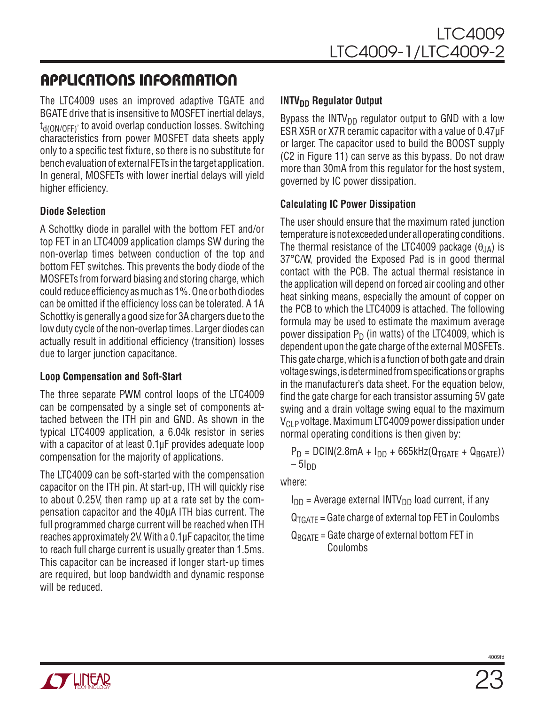The LTC4009 uses an improved adaptive TGATE and BGATE drive that is insensitive to MOSFET inertial delays, t<sub>d(ON/OFF)</sub>, to avoid overlap conduction losses. Switching characteristics from power MOSFET data sheets apply only to a specific test fixture, so there is no substitute for bench evaluation of external FETs in the target application. In general, MOSFETs with lower inertial delays will yield higher efficiency.

#### **Diode Selection**

A Schottky diode in parallel with the bottom FET and/or top FET in an LTC4009 application clamps SW during the non-overlap times between conduction of the top and bottom FET switches. This prevents the body diode of the MOSFETs from forward biasing and storing charge, which could reduce efficiency as much as 1%. One or both diodes can be omitted if the efficiency loss can be tolerated. A 1A Schottky is generally a good size for 3A chargers due to the low duty cycle of the non-overlap times. Larger diodes can actually result in additional efficiency (transition) losses due to larger junction capacitance.

#### **Loop Compensation and Soft-Start**

The three separate PWM control loops of the LTC4009 can be compensated by a single set of components attached between the ITH pin and GND. As shown in the typical LTC4009 application, a 6.04k resistor in series with a capacitor of at least 0.1µF provides adequate loop compensation for the majority of applications.

The LTC4009 can be soft-started with the compensation capacitor on the ITH pin. At start-up, ITH will quickly rise to about 0.25V, then ramp up at a rate set by the compensation capacitor and the 40µA ITH bias current. The full programmed charge current will be reached when ITH reaches approximately 2V. With a 0.1µF capacitor, the time to reach full charge current is usually greater than 1.5ms. This capacitor can be increased if longer start-up times are required, but loop bandwidth and dynamic response will be reduced.

#### **INTV<sub>DD</sub>** Regulator Output

Bypass the  $INTV<sub>DD</sub>$  regulator output to GND with a low ESR X5R or X7R ceramic capacitor with a value of 0.47µF or larger. The capacitor used to build the BOOST supply (C2 in Figure 11) can serve as this bypass. Do not draw more than 30mA from this regulator for the host system, governed by IC power dissipation.

#### **Calculating IC Power Dissipation**

The user should ensure that the maximum rated junction temperature is not exceeded under all operating conditions. The thermal resistance of the LTC4009 package  $(\theta_{IA})$  is 37°C/W, provided the Exposed Pad is in good thermal contact with the PCB. The actual thermal resistance in the application will depend on forced air cooling and other heat sinking means, especially the amount of copper on the PCB to which the LTC4009 is attached. The following formula may be used to estimate the maximum average power dissipation  $P_D$  (in watts) of the LTC4009, which is dependent upon the gate charge of the external MOSFETs. This gate charge, which is a function of both gate and drain voltage swings, is determined from specifications or graphs in the manufacturer's data sheet. For the equation below, find the gate charge for each transistor assuming 5V gate swing and a drain voltage swing equal to the maximum  $V_{\text{Cl}}$  p voltage. Maximum LTC4009 power dissipation under normal operating conditions is then given by:

 $P_D = D C IN(2.8mA + I_{DD} + 665kHz(Q_{TGATF} + Q_{BGATF}))$  $-51$ DD

where:

- $I_{DD}$  = Average external INTV<sub>DD</sub> load current, if any
- $Q_{TGATF}$  = Gate charge of external top FET in Coulombs

 $Q_{BGATF}$  = Gate charge of external bottom FET in Coulombs

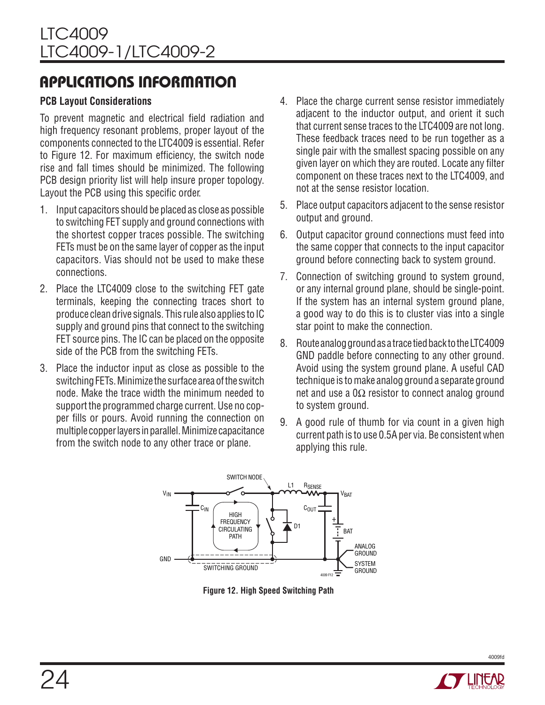#### **PCB Layout Considerations**

To prevent magnetic and electrical field radiation and high frequency resonant problems, proper layout of the components connected to the LTC4009 is essential. Refer to Figure 12. For maximum efficiency, the switch node rise and fall times should be minimized. The following PCB design priority list will help insure proper topology. Layout the PCB using this specific order.

- 1. Input capacitors should be placed as close as possible to switching FET supply and ground connections with the shortest copper traces possible. The switching FETs must be on the same layer of copper as the input capacitors. Vias should not be used to make these connections.
- 2. Place the LTC4009 close to the switching FET gate terminals, keeping the connecting traces short to produce clean drive signals. This rule also applies to IC supply and ground pins that connect to the switching FET source pins. The IC can be placed on the opposite side of the PCB from the switching FETs.
- 3. Place the inductor input as close as possible to the switching FETs. Minimize the surface area of the switch node. Make the trace width the minimum needed to support the programmed charge current. Use no copper fills or pours. Avoid running the connection on multiple copper layers in parallel. Minimize capacitance from the switch node to any other trace or plane.
- 4. Place the charge current sense resistor immediately adjacent to the inductor output, and orient it such that current sense traces to the LTC4009 are not long. These feedback traces need to be run together as a single pair with the smallest spacing possible on any given layer on which they are routed. Locate any filter component on these traces next to the LTC4009, and not at the sense resistor location.
- 5. Place output capacitors adjacent to the sense resistor output and ground.
- 6. Output capacitor ground connections must feed into the same copper that connects to the input capacitor ground before connecting back to system ground.
- 7. Connection of switching ground to system ground, or any internal ground plane, should be single-point. If the system has an internal system ground plane, a good way to do this is to cluster vias into a single star point to make the connection.
- 8. Route analog ground as a trace tied back to the LTC4009 GND paddle before connecting to any other ground. Avoid using the system ground plane. A useful CAD technique is to make analog ground a separate ground net and use a  $0\Omega$  resistor to connect analog ground to system ground.
- 9. A good rule of thumb for via count in a given high current path is to use 0.5A per via. Be consistent when applying this rule.



**Figure 12. High Speed Switching Path**

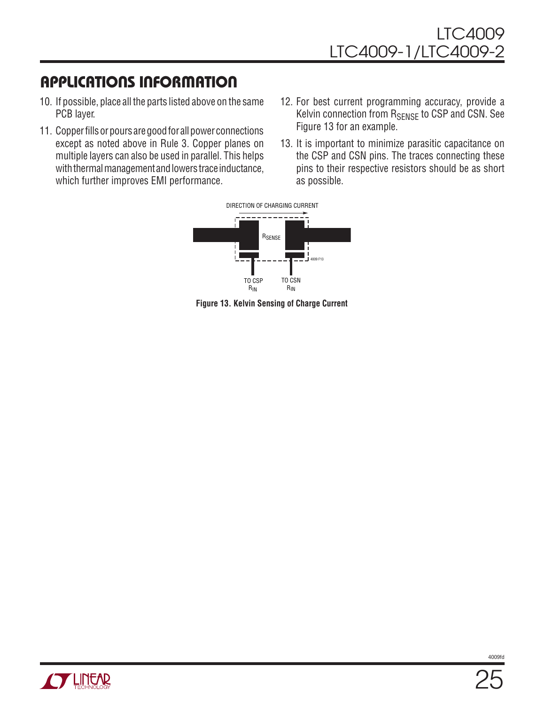- 10. If possible, place all the parts listed above on the same PCB layer.
- 11. Copper fills or pours are good for all power connections except as noted above in Rule 3. Copper planes on multiple layers can also be used in parallel. This helps with thermal management and lowers trace inductance, which further improves EMI performance.
- 12. For best current programming accuracy, provide a Kelvin connection from R<sub>SENSE</sub> to CSP and CSN. See Figure 13 for an example.
- 13. It is important to minimize parasitic capacitance on the CSP and CSN pins. The traces connecting these pins to their respective resistors should be as short as possible.



**Figure 13. Kelvin Sensing of Charge Current**

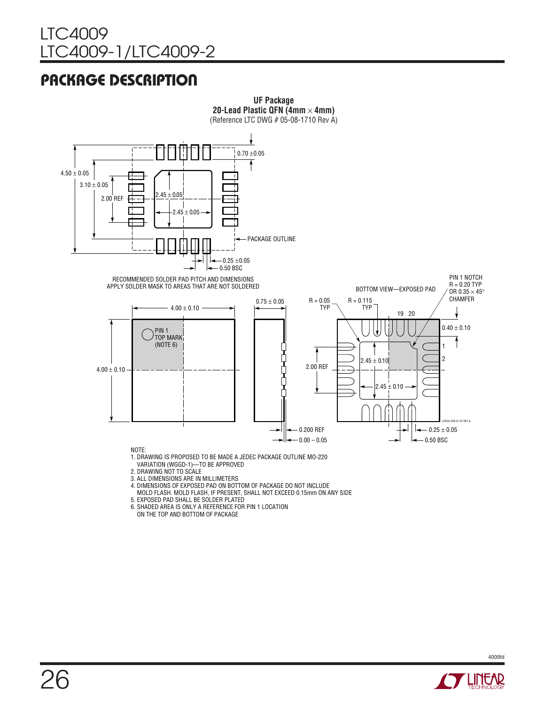### LTC4009 LTC4009-1/LTC4009-2

## Package Description



- VARIATION (WGGD-1)—TO BE APPROVED
- 2. DRAWING NOT TO SCALE
- 3. ALL DIMENSIONS ARE IN MILLIMETERS
- 4. DIMENSIONS OF EXPOSED PAD ON BOTTOM OF PACKAGE DO NOT INCLUDE
- MOLD FLASH. MOLD FLASH, IF PRESENT, SHALL NOT EXCEED 0.15mm ON ANY SIDE
- 5. EXPOSED PAD SHALL BE SOLDER PLATED
- 6. SHADED AREA IS ONLY A REFERENCE FOR PIN 1 LOCATION
- ON THE TOP AND BOTTOM OF PACKAGE

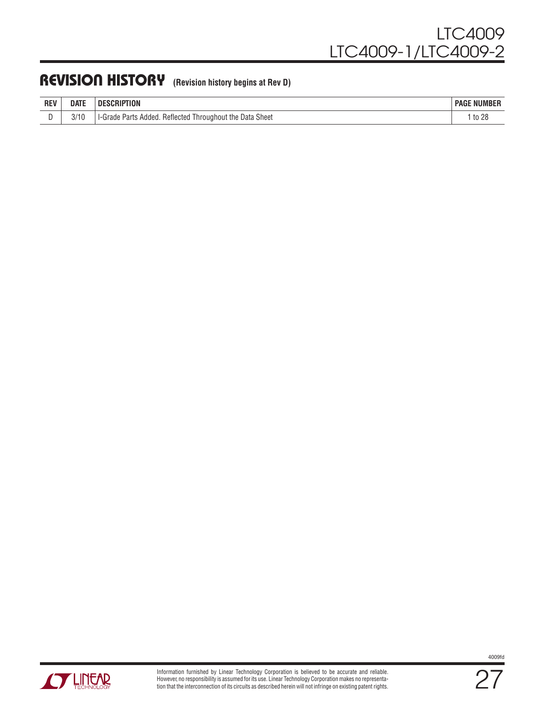### REVISION HISTORY (Revision history begins at Rev D)

| <b>REV</b> | <b>DATE</b> | SCRIPTION<br>.sCRIP"<br>-111                                                         | : NUMBER<br><b>PAGE</b> |
|------------|-------------|--------------------------------------------------------------------------------------|-------------------------|
| ◡          | 3/1C        | <b>Data Sheet</b><br>Throughout the<br>Added.<br>Parts<br>Reflected<br>Grade<br>$-1$ | to 28                   |